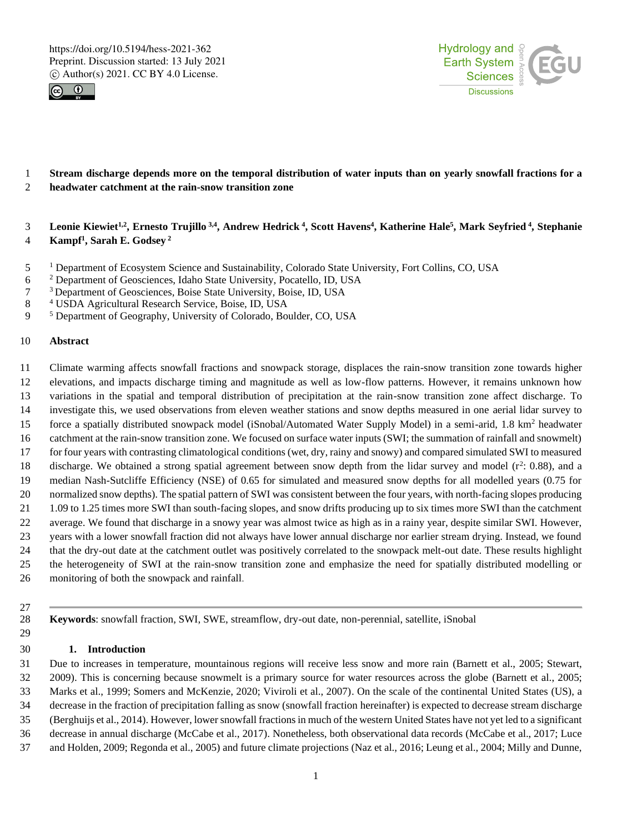



# **Stream discharge depends more on the temporal distribution of water inputs than on yearly snowfall fractions for a headwater catchment at the rain-snow transition zone**

# 3 Leonie Kiewiet<sup>1,2</sup>, Ernesto Trujillo <sup>3,4</sup>, Andrew Hedrick <sup>4</sup>, Scott Havens<sup>4</sup>, Katherine Hale<sup>5</sup>, Mark Seyfried <sup>4</sup>, Stephanie **Kampf 1 , Sarah E. Godsey <sup>2</sup>**

- Department of Ecosystem Science and Sustainability, Colorado State University, Fort Collins, CO, USA
- Department of Geosciences, Idaho State University, Pocatello, ID, USA
- <sup>3</sup> Department of Geosciences, Boise State University, Boise, ID, USA
- USDA Agricultural Research Service, Boise, ID, USA
- Department of Geography, University of Colorado, Boulder, CO, USA

# **Abstract**

- Climate warming affects snowfall fractions and snowpack storage, displaces the rain-snow transition zone towards higher elevations, and impacts discharge timing and magnitude as well as low-flow patterns. However, it remains unknown how variations in the spatial and temporal distribution of precipitation at the rain-snow transition zone affect discharge. To investigate this, we used observations from eleven weather stations and snow depths measured in one aerial lidar survey to force a spatially distributed snowpack model (iSnobal/Automated Water Supply Model) in a semi-arid, 1.8 km<sup>2</sup> headwater catchment at the rain-snow transition zone. We focused on surface water inputs (SWI; the summation of rainfall and snowmelt) for four years with contrasting climatological conditions (wet, dry, rainy and snowy) and compared simulated SWI to measured 18 discharge. We obtained a strong spatial agreement between snow depth from the lidar survey and model  $(r^2: 0.88)$ , and a median Nash-Sutcliffe Efficiency (NSE) of 0.65 for simulated and measured snow depths for all modelled years (0.75 for normalized snow depths). The spatial pattern of SWI was consistent between the four years, with north-facing slopes producing 1.09 to 1.25 times more SWI than south-facing slopes, and snow drifts producing up to six times more SWI than the catchment average. We found that discharge in a snowy year was almost twice as high as in a rainy year, despite similar SWI. However, years with a lower snowfall fraction did not always have lower annual discharge nor earlier stream drying. Instead, we found that the dry-out date at the catchment outlet was positively correlated to the snowpack melt-out date. These results highlight the heterogeneity of SWI at the rain-snow transition zone and emphasize the need for spatially distributed modelling or monitoring of both the snowpack and rainfall.
- 

**Keywords**: snowfall fraction, SWI, SWE, streamflow, dry-out date, non-perennial, satellite, iSnobal

## **1. Introduction**

 Due to increases in temperature, mountainous regions will receive less snow and more rain (Barnett et al., 2005; Stewart, 2009). This is concerning because snowmelt is a primary source for water resources across the globe (Barnett et al., 2005; Marks et al., 1999; Somers and McKenzie, 2020; Viviroli et al., 2007). On the scale of the continental United States (US), a decrease in the fraction of precipitation falling as snow (snowfall fraction hereinafter) is expected to decrease stream discharge (Berghuijs et al., 2014). However, lower snowfall fractions in much of the western United States have not yet led to a significant decrease in annual discharge (McCabe et al., 2017). Nonetheless, both observational data records (McCabe et al., 2017; Luce

and Holden, 2009; Regonda et al., 2005) and future climate projections (Naz et al., 2016; Leung et al., 2004; Milly and Dunne,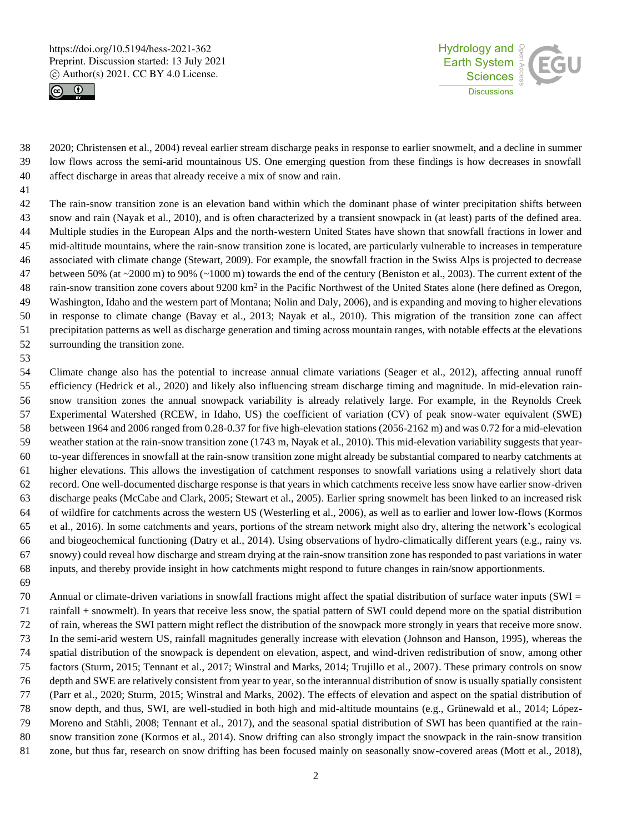



 2020; Christensen et al., 2004) reveal earlier stream discharge peaks in response to earlier snowmelt, and a decline in summer low flows across the semi-arid mountainous US. One emerging question from these findings is how decreases in snowfall affect discharge in areas that already receive a mix of snow and rain.

- The rain-snow transition zone is an elevation band within which the dominant phase of winter precipitation shifts between snow and rain (Nayak et al., 2010), and is often characterized by a transient snowpack in (at least) parts of the defined area. Multiple studies in the European Alps and the north-western United States have shown that snowfall fractions in lower and mid-altitude mountains, where the rain-snow transition zone is located, are particularly vulnerable to increases in temperature associated with climate change (Stewart, 2009). For example, the snowfall fraction in the Swiss Alps is projected to decrease 47 between 50% (at  $\sim$  2000 m) to 90% ( $\sim$  1000 m) towards the end of the century (Beniston et al., 2003). The current extent of the 48 rain-snow transition zone covers about 9200 km<sup>2</sup> in the Pacific Northwest of the United States alone (here defined as Oregon, Washington, Idaho and the western part of Montana; Nolin and Daly, 2006), and is expanding and moving to higher elevations in response to climate change (Bavay et al., 2013; Nayak et al., 2010). This migration of the transition zone can affect precipitation patterns as well as discharge generation and timing across mountain ranges, with notable effects at the elevations surrounding the transition zone.
- Climate change also has the potential to increase annual climate variations (Seager et al., 2012), affecting annual runoff efficiency (Hedrick et al., 2020) and likely also influencing stream discharge timing and magnitude. In mid-elevation rain- snow transition zones the annual snowpack variability is already relatively large. For example, in the Reynolds Creek Experimental Watershed (RCEW, in Idaho, US) the coefficient of variation (CV) of peak snow-water equivalent (SWE) between 1964 and 2006 ranged from 0.28-0.37 for five high-elevation stations (2056-2162 m) and was 0.72 for a mid-elevation weather station at the rain-snow transition zone (1743 m, Nayak et al., 2010). This mid-elevation variability suggests that year- to-year differences in snowfall at the rain-snow transition zone might already be substantial compared to nearby catchments at higher elevations. This allows the investigation of catchment responses to snowfall variations using a relatively short data record. One well-documented discharge response is that years in which catchments receive less snow have earlier snow-driven discharge peaks (McCabe and Clark, 2005; Stewart et al., 2005). Earlier spring snowmelt has been linked to an increased risk of wildfire for catchments across the western US (Westerling et al., 2006), as well as to earlier and lower low-flows (Kormos et al., 2016). In some catchments and years, portions of the stream network might also dry, altering the network's ecological and biogeochemical functioning (Datry et al., 2014). Using observations of hydro-climatically different years (e.g., rainy vs. snowy) could reveal how discharge and stream drying at the rain-snow transition zone has responded to past variations in water inputs, and thereby provide insight in how catchments might respond to future changes in rain/snow apportionments.
- Annual or climate-driven variations in snowfall fractions might affect the spatial distribution of surface water inputs (SWI = rainfall + snowmelt). In years that receive less snow, the spatial pattern of SWI could depend more on the spatial distribution of rain, whereas the SWI pattern might reflect the distribution of the snowpack more strongly in years that receive more snow. In the semi-arid western US, rainfall magnitudes generally increase with elevation (Johnson and Hanson, 1995), whereas the spatial distribution of the snowpack is dependent on elevation, aspect, and wind-driven redistribution of snow, among other factors (Sturm, 2015; Tennant et al., 2017; Winstral and Marks, 2014; Trujillo et al., 2007). These primary controls on snow depth and SWE are relatively consistent from year to year, so the interannual distribution of snow is usually spatially consistent (Parr et al., 2020; Sturm, 2015; Winstral and Marks, 2002). The effects of elevation and aspect on the spatial distribution of snow depth, and thus, SWI, are well-studied in both high and mid-altitude mountains (e.g., Grünewald et al., 2014; López- Moreno and Stähli, 2008; Tennant et al., 2017), and the seasonal spatial distribution of SWI has been quantified at the rain- snow transition zone (Kormos et al., 2014). Snow drifting can also strongly impact the snowpack in the rain-snow transition zone, but thus far, research on snow drifting has been focused mainly on seasonally snow-covered areas (Mott et al., 2018),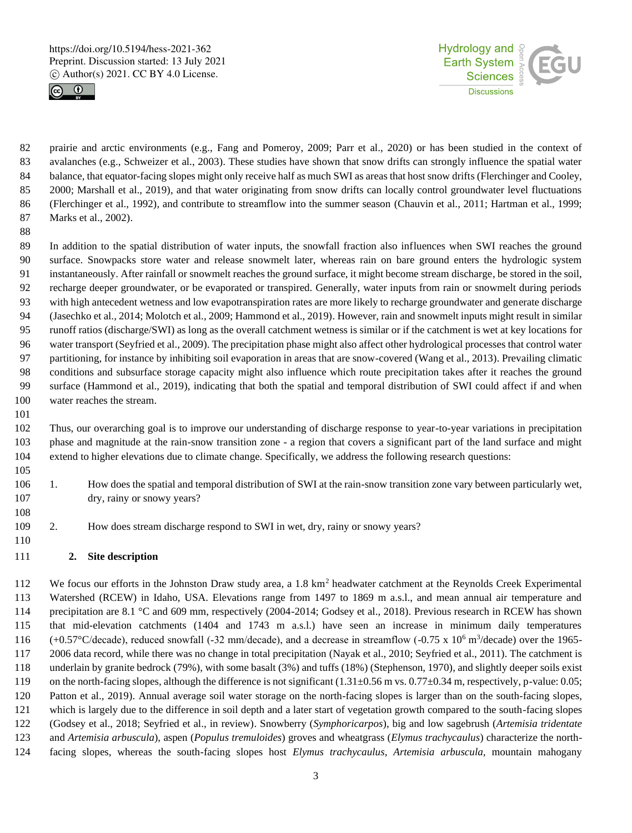



 prairie and arctic environments (e.g., Fang and Pomeroy, 2009; Parr et al., 2020) or has been studied in the context of avalanches (e.g., Schweizer et al., 2003). These studies have shown that snow drifts can strongly influence the spatial water balance, that equator-facing slopes might only receive half as much SWI as areas that host snow drifts (Flerchinger and Cooley, 2000; Marshall et al., 2019), and that water originating from snow drifts can locally control groundwater level fluctuations (Flerchinger et al., 1992), and contribute to streamflow into the summer season (Chauvin et al., 2011; Hartman et al., 1999; Marks et al., 2002).

 In addition to the spatial distribution of water inputs, the snowfall fraction also influences when SWI reaches the ground surface. Snowpacks store water and release snowmelt later, whereas rain on bare ground enters the hydrologic system instantaneously. After rainfall or snowmelt reaches the ground surface, it might become stream discharge, be stored in the soil, recharge deeper groundwater, or be evaporated or transpired. Generally, water inputs from rain or snowmelt during periods with high antecedent wetness and low evapotranspiration rates are more likely to recharge groundwater and generate discharge (Jasechko et al., 2014; Molotch et al., 2009; Hammond et al., 2019). However, rain and snowmelt inputs might result in similar runoff ratios (discharge/SWI) as long as the overall catchment wetness is similar or if the catchment is wet at key locations for water transport (Seyfried et al., 2009). The precipitation phase might also affect other hydrological processes that control water partitioning, for instance by inhibiting soil evaporation in areas that are snow-covered (Wang et al., 2013). Prevailing climatic conditions and subsurface storage capacity might also influence which route precipitation takes after it reaches the ground surface (Hammond et al., 2019), indicating that both the spatial and temporal distribution of SWI could affect if and when water reaches the stream.

 Thus, our overarching goal is to improve our understanding of discharge response to year-to-year variations in precipitation phase and magnitude at the rain-snow transition zone - a region that covers a significant part of the land surface and might extend to higher elevations due to climate change. Specifically, we address the following research questions:

- 1. How does the spatial and temporal distribution of SWI at the rain-snow transition zone vary between particularly wet, dry, rainy or snowy years?
	-

2. How does stream discharge respond to SWI in wet, dry, rainy or snowy years?

# **2. Site description**

112 We focus our efforts in the Johnston Draw study area, a  $1.8 \text{ km}^2$  headwater catchment at the Reynolds Creek Experimental Watershed (RCEW) in Idaho, USA. Elevations range from 1497 to 1869 m a.s.l., and mean annual air temperature and precipitation are 8.1 °C and 609 mm, respectively (2004-2014; Godsey et al., 2018). Previous research in RCEW has shown that mid-elevation catchments (1404 and 1743 m a.s.l.) have seen an increase in minimum daily temperatures  $(+0.57^{\circ}$ C/decade), reduced snowfall (-32 mm/decade), and a decrease in streamflow (-0.75 x 10<sup>6</sup> m<sup>3</sup>/decade) over the 1965- 2006 data record, while there was no change in total precipitation (Nayak et al., 2010; Seyfried et al., 2011). The catchment is underlain by granite bedrock (79%), with some basalt (3%) and tuffs (18%) (Stephenson, 1970), and slightly deeper soils exist 119 on the north-facing slopes, although the difference is not significant  $(1.31\pm0.56 \text{ m/s}, 0.77\pm0.34 \text{ m}$ , respectively, p-value: 0.05; Patton et al., 2019). Annual average soil water storage on the north-facing slopes is larger than on the south-facing slopes, which is largely due to the difference in soil depth and a later start of vegetation growth compared to the south-facing slopes (Godsey et al., 2018; Seyfried et al., in review). Snowberry (*Symphoricarpos*), big and low sagebrush (*Artemisia tridentate* and *Artemisia arbuscula*), aspen (*Populus tremuloides*) groves and wheatgrass (*Elymus trachycaulus*) characterize the north-facing slopes, whereas the south-facing slopes host *Elymus trachycaulus*, *Artemisia arbuscula,* mountain mahogany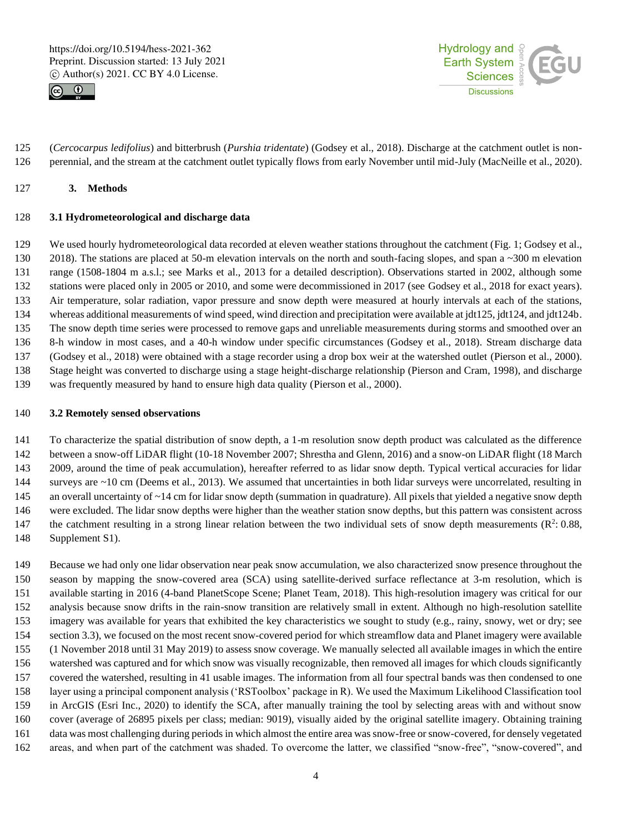



 (*Cercocarpus ledifolius*) and bitterbrush (*Purshia tridentate*) (Godsey et al., 2018). Discharge at the catchment outlet is non-perennial, and the stream at the catchment outlet typically flows from early November until mid-July (MacNeille et al., 2020).

# **3. Methods**

#### **3.1 Hydrometeorological and discharge data**

 We used hourly hydrometeorological data recorded at eleven weather stations throughout the catchment (Fig. 1; Godsey et al., 130 2018). The stations are placed at 50-m elevation intervals on the north and south-facing slopes, and span a ~300 m elevation range (1508-1804 m a.s.l.; see Marks et al., 2013 for a detailed description). Observations started in 2002, although some stations were placed only in 2005 or 2010, and some were decommissioned in 2017 (see Godsey et al., 2018 for exact years). Air temperature, solar radiation, vapor pressure and snow depth were measured at hourly intervals at each of the stations, whereas additional measurements of wind speed, wind direction and precipitation were available at jdt125, jdt124, and jdt124b. The snow depth time series were processed to remove gaps and unreliable measurements during storms and smoothed over an 8-h window in most cases, and a 40-h window under specific circumstances (Godsey et al., 2018). Stream discharge data (Godsey et al., 2018) were obtained with a stage recorder using a drop box weir at the watershed outlet (Pierson et al., 2000). Stage height was converted to discharge using a stage height-discharge relationship (Pierson and Cram, 1998), and discharge was frequently measured by hand to ensure high data quality (Pierson et al., 2000).

#### **3.2 Remotely sensed observations**

 To characterize the spatial distribution of snow depth, a 1-m resolution snow depth product was calculated as the difference between a snow-off LiDAR flight (10-18 November 2007; Shrestha and Glenn, 2016) and a snow-on LiDAR flight (18 March 2009, around the time of peak accumulation), hereafter referred to as lidar snow depth. Typical vertical accuracies for lidar surveys are ~10 cm (Deems et al., 2013). We assumed that uncertainties in both lidar surveys were uncorrelated, resulting in 145 an overall uncertainty of ~14 cm for lidar snow depth (summation in quadrature). All pixels that yielded a negative snow depth were excluded. The lidar snow depths were higher than the weather station snow depths, but this pattern was consistent across 147 the catchment resulting in a strong linear relation between the two individual sets of snow depth measurements  $(R^2: 0.88$ , Supplement S1).

 Because we had only one lidar observation near peak snow accumulation, we also characterized snow presence throughout the season by mapping the snow-covered area (SCA) using satellite-derived surface reflectance at 3-m resolution, which is available starting in 2016 (4-band PlanetScope Scene; Planet Team, 2018). This high-resolution imagery was critical for our analysis because snow drifts in the rain-snow transition are relatively small in extent. Although no high-resolution satellite imagery was available for years that exhibited the key characteristics we sought to study (e.g., rainy, snowy, wet or dry; see section 3.3), we focused on the most recent snow-covered period for which streamflow data and Planet imagery were available (1 November 2018 until 31 May 2019) to assess snow coverage. We manually selected all available images in which the entire watershed was captured and for which snow was visually recognizable, then removed all images for which clouds significantly covered the watershed, resulting in 41 usable images. The information from all four spectral bands was then condensed to one layer using a principal component analysis ('RSToolbox' package in R). We used the Maximum Likelihood Classification tool in ArcGIS (Esri Inc., 2020) to identify the SCA, after manually training the tool by selecting areas with and without snow cover (average of 26895 pixels per class; median: 9019), visually aided by the original satellite imagery. Obtaining training data was most challenging during periods in which almost the entire area was snow-free or snow-covered, for densely vegetated areas, and when part of the catchment was shaded. To overcome the latter, we classified "snow-free", "snow-covered", and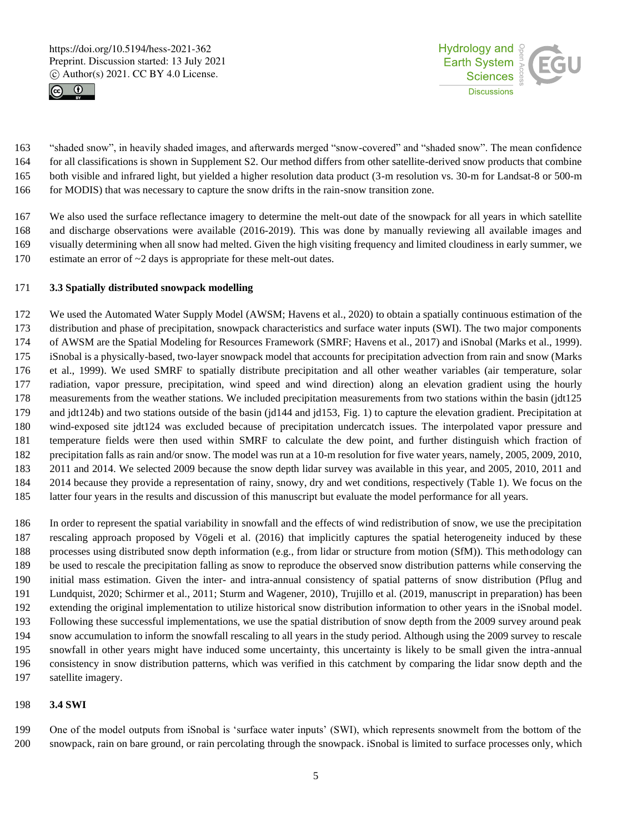



 "shaded snow", in heavily shaded images, and afterwards merged "snow-covered" and "shaded snow". The mean confidence for all classifications is shown in Supplement S2. Our method differs from other satellite-derived snow products that combine both visible and infrared light, but yielded a higher resolution data product (3-m resolution vs. 30-m for Landsat-8 or 500-m for MODIS) that was necessary to capture the snow drifts in the rain-snow transition zone.

 We also used the surface reflectance imagery to determine the melt-out date of the snowpack for all years in which satellite and discharge observations were available (2016-2019). This was done by manually reviewing all available images and visually determining when all snow had melted. Given the high visiting frequency and limited cloudiness in early summer, we estimate an error of ~2 days is appropriate for these melt-out dates.

## **3.3 Spatially distributed snowpack modelling**

 We used the Automated Water Supply Model (AWSM; Havens et al., 2020) to obtain a spatially continuous estimation of the distribution and phase of precipitation, snowpack characteristics and surface water inputs (SWI). The two major components of AWSM are the Spatial Modeling for Resources Framework (SMRF; Havens et al., 2017) and iSnobal (Marks et al., 1999). iSnobal is a physically-based, two-layer snowpack model that accounts for precipitation advection from rain and snow (Marks et al., 1999). We used SMRF to spatially distribute precipitation and all other weather variables (air temperature, solar radiation, vapor pressure, precipitation, wind speed and wind direction) along an elevation gradient using the hourly measurements from the weather stations. We included precipitation measurements from two stations within the basin (jdt125 and jdt124b) and two stations outside of the basin (jd144 and jd153, Fig. 1) to capture the elevation gradient. Precipitation at wind-exposed site jdt124 was excluded because of precipitation undercatch issues. The interpolated vapor pressure and temperature fields were then used within SMRF to calculate the dew point, and further distinguish which fraction of precipitation falls as rain and/or snow. The model was run at a 10-m resolution for five water years, namely, 2005, 2009, 2010, 2011 and 2014. We selected 2009 because the snow depth lidar survey was available in this year, and 2005, 2010, 2011 and 2014 because they provide a representation of rainy, snowy, dry and wet conditions, respectively (Table 1). We focus on the latter four years in the results and discussion of this manuscript but evaluate the model performance for all years.

 In order to represent the spatial variability in snowfall and the effects of wind redistribution of snow, we use the precipitation rescaling approach proposed by Vögeli et al. (2016) that implicitly captures the spatial heterogeneity induced by these processes using distributed snow depth information (e.g., from lidar or structure from motion (SfM)). This methodology can be used to rescale the precipitation falling as snow to reproduce the observed snow distribution patterns while conserving the initial mass estimation. Given the inter- and intra-annual consistency of spatial patterns of snow distribution (Pflug and Lundquist, 2020; Schirmer et al., 2011; Sturm and Wagener, 2010), Trujillo et al. (2019, manuscript in preparation) has been extending the original implementation to utilize historical snow distribution information to other years in the iSnobal model. Following these successful implementations, we use the spatial distribution of snow depth from the 2009 survey around peak snow accumulation to inform the snowfall rescaling to all years in the study period. Although using the 2009 survey to rescale snowfall in other years might have induced some uncertainty, this uncertainty is likely to be small given the intra-annual consistency in snow distribution patterns, which was verified in this catchment by comparing the lidar snow depth and the satellite imagery.

## **3.4 SWI**

 One of the model outputs from iSnobal is 'surface water inputs' (SWI), which represents snowmelt from the bottom of the snowpack, rain on bare ground, or rain percolating through the snowpack. iSnobal is limited to surface processes only, which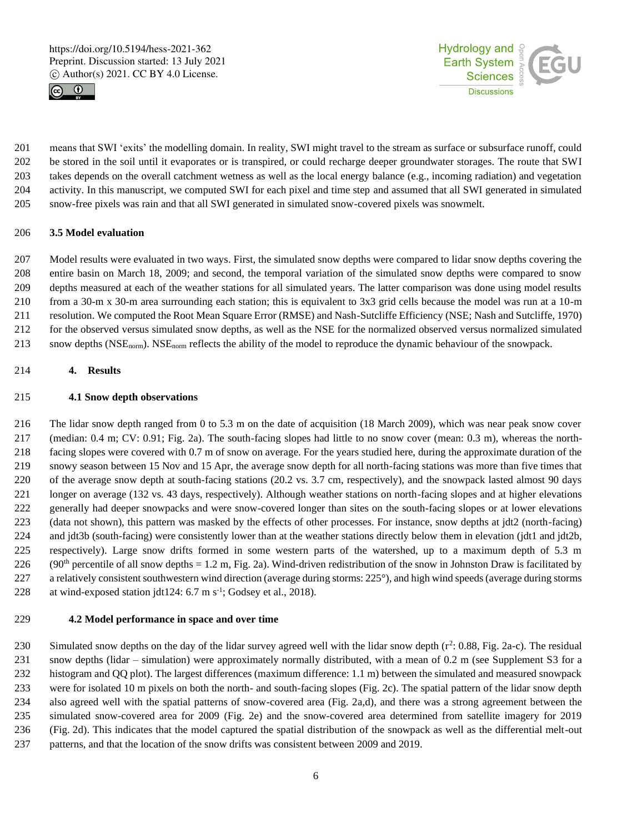



 means that SWI 'exits' the modelling domain. In reality, SWI might travel to the stream as surface or subsurface runoff, could be stored in the soil until it evaporates or is transpired, or could recharge deeper groundwater storages. The route that SWI takes depends on the overall catchment wetness as well as the local energy balance (e.g., incoming radiation) and vegetation activity. In this manuscript, we computed SWI for each pixel and time step and assumed that all SWI generated in simulated snow-free pixels was rain and that all SWI generated in simulated snow-covered pixels was snowmelt.

#### **3.5 Model evaluation**

 Model results were evaluated in two ways. First, the simulated snow depths were compared to lidar snow depths covering the entire basin on March 18, 2009; and second, the temporal variation of the simulated snow depths were compared to snow depths measured at each of the weather stations for all simulated years. The latter comparison was done using model results from a 30-m x 30-m area surrounding each station; this is equivalent to 3x3 grid cells because the model was run at a 10-m resolution. We computed the Root Mean Square Error (RMSE) and Nash-Sutcliffe Efficiency (NSE; Nash and Sutcliffe, 1970) for the observed versus simulated snow depths, as well as the NSE for the normalized observed versus normalized simulated snow depths (NSEnorm). NSEnorm reflects the ability of the model to reproduce the dynamic behaviour of the snowpack.

#### **4. Results**

#### **4.1 Snow depth observations**

 The lidar snow depth ranged from 0 to 5.3 m on the date of acquisition (18 March 2009), which was near peak snow cover (median: 0.4 m; CV: 0.91; Fig. 2a). The south-facing slopes had little to no snow cover (mean: 0.3 m), whereas the north- facing slopes were covered with 0.7 m of snow on average. For the years studied here, during the approximate duration of the snowy season between 15 Nov and 15 Apr, the average snow depth for all north-facing stations was more than five times that of the average snow depth at south-facing stations (20.2 vs. 3.7 cm, respectively), and the snowpack lasted almost 90 days longer on average (132 vs. 43 days, respectively). Although weather stations on north-facing slopes and at higher elevations generally had deeper snowpacks and were snow-covered longer than sites on the south-facing slopes or at lower elevations (data not shown), this pattern was masked by the effects of other processes. For instance, snow depths at jdt2 (north-facing) and jdt3b (south-facing) were consistently lower than at the weather stations directly below them in elevation (jdt1 and jdt2b, respectively). Large snow drifts formed in some western parts of the watershed, up to a maximum depth of 5.3 m 226 (90<sup>th</sup> percentile of all snow depths = 1.2 m, Fig. 2a). Wind-driven redistribution of the snow in Johnston Draw is facilitated by 227 a relatively consistent southwestern wind direction (average during storms: 225°), and high wind speeds (average during storms 228 at wind-exposed station jdt124:  $6.7 \text{ m s}^{-1}$ ; Godsey et al., 2018).

#### **4.2 Model performance in space and over time**

230 Simulated snow depths on the day of the lidar survey agreed well with the lidar snow depth  $(r^2: 0.88, Fig. 2a-c)$ . The residual snow depths (lidar – simulation) were approximately normally distributed, with a mean of 0.2 m (see Supplement S3 for a histogram and QQ plot). The largest differences (maximum difference: 1.1 m) between the simulated and measured snowpack were for isolated 10 m pixels on both the north- and south-facing slopes (Fig. 2c). The spatial pattern of the lidar snow depth also agreed well with the spatial patterns of snow-covered area (Fig. 2a,d), and there was a strong agreement between the simulated snow-covered area for 2009 (Fig. 2e) and the snow-covered area determined from satellite imagery for 2019 (Fig. 2d). This indicates that the model captured the spatial distribution of the snowpack as well as the differential melt-out patterns, and that the location of the snow drifts was consistent between 2009 and 2019.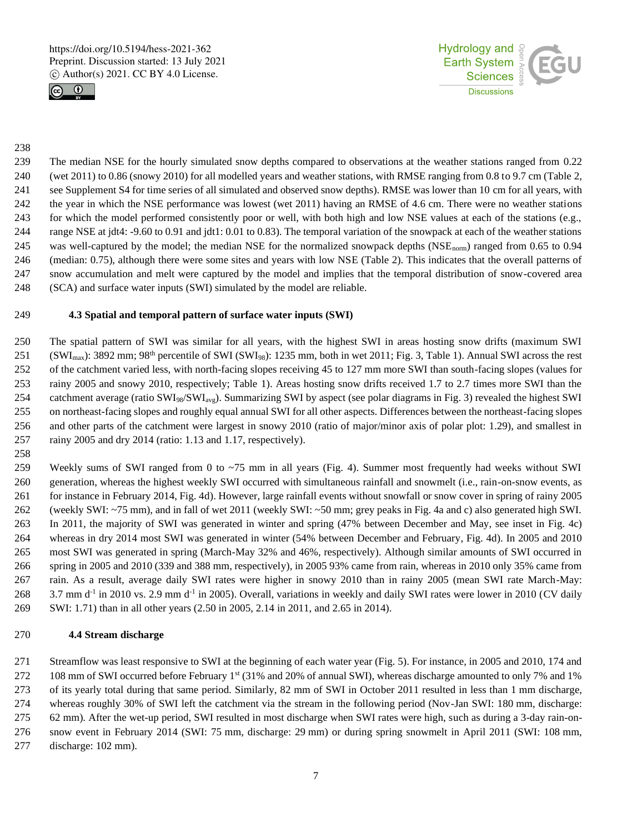



#### 

 The median NSE for the hourly simulated snow depths compared to observations at the weather stations ranged from 0.22 (wet 2011) to 0.86 (snowy 2010) for all modelled years and weather stations, with RMSE ranging from 0.8 to 9.7 cm (Table 2, see Supplement S4 for time series of all simulated and observed snow depths). RMSE was lower than 10 cm for all years, with the year in which the NSE performance was lowest (wet 2011) having an RMSE of 4.6 cm. There were no weather stations for which the model performed consistently poor or well, with both high and low NSE values at each of the stations (e.g., range NSE at jdt4: -9.60 to 0.91 and jdt1: 0.01 to 0.83). The temporal variation of the snowpack at each of the weather stations 245 was well-captured by the model; the median NSE for the normalized snowpack depths (NSE<sub>norm</sub>) ranged from 0.65 to 0.94 (median: 0.75), although there were some sites and years with low NSE (Table 2). This indicates that the overall patterns of snow accumulation and melt were captured by the model and implies that the temporal distribution of snow-covered area (SCA) and surface water inputs (SWI) simulated by the model are reliable.

#### **4.3 Spatial and temporal pattern of surface water inputs (SWI)**

 The spatial pattern of SWI was similar for all years, with the highest SWI in areas hosting snow drifts (maximum SWI (SWI<sub>max</sub>): 3892 mm; 98<sup>th</sup> percentile of SWI (SWI<sub>98</sub>): 1235 mm, both in wet 2011; Fig. 3, Table 1). Annual SWI across the rest of the catchment varied less, with north-facing slopes receiving 45 to 127 mm more SWI than south-facing slopes (values for rainy 2005 and snowy 2010, respectively; Table 1). Areas hosting snow drifts received 1.7 to 2.7 times more SWI than the 254 catchment average (ratio SWI<sub>98</sub>/SWI<sub>avg</sub>). Summarizing SWI by aspect (see polar diagrams in Fig. 3) revealed the highest SWI on northeast-facing slopes and roughly equal annual SWI for all other aspects. Differences between the northeast-facing slopes and other parts of the catchment were largest in snowy 2010 (ratio of major/minor axis of polar plot: 1.29), and smallest in rainy 2005 and dry 2014 (ratio: 1.13 and 1.17, respectively).

 Weekly sums of SWI ranged from 0 to ~75 mm in all years (Fig. 4). Summer most frequently had weeks without SWI generation, whereas the highest weekly SWI occurred with simultaneous rainfall and snowmelt (i.e., rain-on-snow events, as for instance in February 2014, Fig. 4d). However, large rainfall events without snowfall or snow cover in spring of rainy 2005 (weekly SWI: ~75 mm), and in fall of wet 2011 (weekly SWI: ~50 mm; grey peaks in Fig. 4a and c) also generated high SWI. In 2011, the majority of SWI was generated in winter and spring (47% between December and May, see inset in Fig. 4c) whereas in dry 2014 most SWI was generated in winter (54% between December and February, Fig. 4d). In 2005 and 2010 most SWI was generated in spring (March-May 32% and 46%, respectively). Although similar amounts of SWI occurred in spring in 2005 and 2010 (339 and 388 mm, respectively), in 2005 93% came from rain, whereas in 2010 only 35% came from rain. As a result, average daily SWI rates were higher in snowy 2010 than in rainy 2005 (mean SWI rate March-May: 268 3.7 mm d<sup>-1</sup> in 2010 vs. 2.9 mm d<sup>-1</sup> in 2005). Overall, variations in weekly and daily SWI rates were lower in 2010 (CV daily SWI: 1.71) than in all other years (2.50 in 2005, 2.14 in 2011, and 2.65 in 2014).

## **4.4 Stream discharge**

 Streamflow was least responsive to SWI at the beginning of each water year (Fig. 5). For instance, in 2005 and 2010, 174 and 272 108 mm of SWI occurred before February 1<sup>st</sup> (31% and 20% of annual SWI), whereas discharge amounted to only 7% and 1% of its yearly total during that same period. Similarly, 82 mm of SWI in October 2011 resulted in less than 1 mm discharge, whereas roughly 30% of SWI left the catchment via the stream in the following period (Nov-Jan SWI: 180 mm, discharge: 62 mm). After the wet-up period, SWI resulted in most discharge when SWI rates were high, such as during a 3-day rain-on- snow event in February 2014 (SWI: 75 mm, discharge: 29 mm) or during spring snowmelt in April 2011 (SWI: 108 mm, discharge: 102 mm).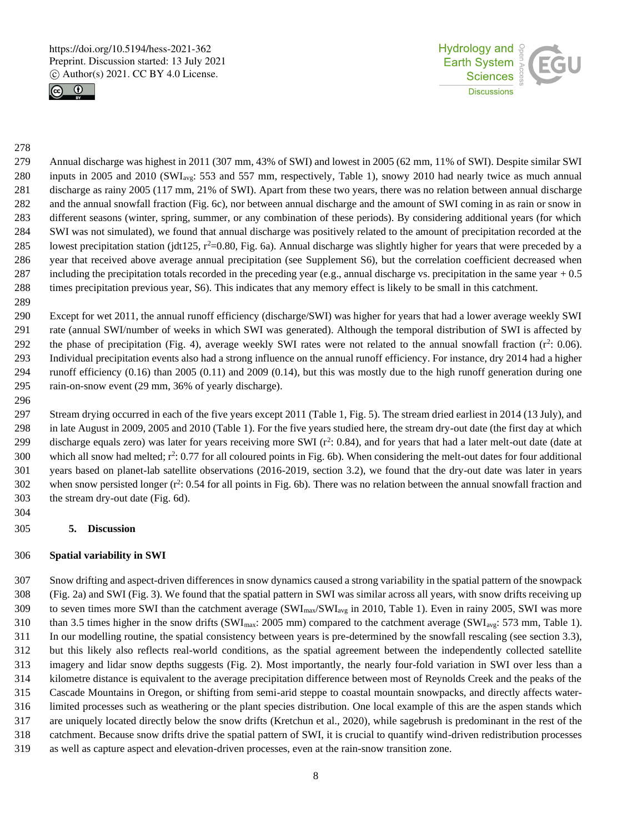



#### 

 Annual discharge was highest in 2011 (307 mm, 43% of SWI) and lowest in 2005 (62 mm, 11% of SWI). Despite similar SWI 280 inputs in 2005 and 2010 (SWI<sub>avg</sub>: 553 and 557 mm, respectively, Table 1), snowy 2010 had nearly twice as much annual discharge as rainy 2005 (117 mm, 21% of SWI). Apart from these two years, there was no relation between annual discharge and the annual snowfall fraction (Fig. 6c), nor between annual discharge and the amount of SWI coming in as rain or snow in different seasons (winter, spring, summer, or any combination of these periods). By considering additional years (for which SWI was not simulated), we found that annual discharge was positively related to the amount of precipitation recorded at the 285 lowest precipitation station (jdt125,  $r^2=0.80$ , Fig. 6a). Annual discharge was slightly higher for years that were preceded by a year that received above average annual precipitation (see Supplement S6), but the correlation coefficient decreased when 287 including the precipitation totals recorded in the preceding year (e.g., annual discharge vs. precipitation in the same year  $+0.5$ times precipitation previous year, S6). This indicates that any memory effect is likely to be small in this catchment.

 Except for wet 2011, the annual runoff efficiency (discharge/SWI) was higher for years that had a lower average weekly SWI rate (annual SWI/number of weeks in which SWI was generated). Although the temporal distribution of SWI is affected by 292 the phase of precipitation (Fig. 4), average weekly SWI rates were not related to the annual snowfall fraction  $(r^2: 0.06)$ . Individual precipitation events also had a strong influence on the annual runoff efficiency. For instance, dry 2014 had a higher runoff efficiency (0.16) than 2005 (0.11) and 2009 (0.14), but this was mostly due to the high runoff generation during one rain-on-snow event (29 mm, 36% of yearly discharge).

 Stream drying occurred in each of the five years except 2011 (Table 1, Fig. 5). The stream dried earliest in 2014 (13 July), and in late August in 2009, 2005 and 2010 (Table 1). For the five years studied here, the stream dry-out date (the first day at which 299 discharge equals zero) was later for years receiving more SWI  $(r^2: 0.84)$ , and for years that had a later melt-out date (date at 300 which all snow had melted;  $r^2$ : 0.77 for all coloured points in Fig. 6b). When considering the melt-out dates for four additional years based on planet-lab satellite observations (2016-2019, section 3.2), we found that the dry-out date was later in years 302 when snow persisted longer  $(r^2: 0.54$  for all points in Fig. 6b). There was no relation between the annual snowfall fraction and the stream dry-out date (Fig. 6d).

## **5. Discussion**

## **Spatial variability in SWI**

 Snow drifting and aspect-driven differences in snow dynamics caused a strong variability in the spatial pattern of the snowpack (Fig. 2a) and SWI (Fig. 3). We found that the spatial pattern in SWI was similar across all years, with snow drifts receiving up 309 to seven times more SWI than the catchment average  $(SWI_{max}/SWI_{avg}$  in 2010, Table 1). Even in rainy 2005, SWI was more 310 than 3.5 times higher in the snow drifts (SWI<sub>max</sub>: 2005 mm) compared to the catchment average (SWI<sub>avg</sub>: 573 mm, Table 1). In our modelling routine, the spatial consistency between years is pre-determined by the snowfall rescaling (see section 3.3), but this likely also reflects real-world conditions, as the spatial agreement between the independently collected satellite imagery and lidar snow depths suggests (Fig. 2). Most importantly, the nearly four-fold variation in SWI over less than a kilometre distance is equivalent to the average precipitation difference between most of Reynolds Creek and the peaks of the Cascade Mountains in Oregon, or shifting from semi-arid steppe to coastal mountain snowpacks, and directly affects water- limited processes such as weathering or the plant species distribution. One local example of this are the aspen stands which are uniquely located directly below the snow drifts (Kretchun et al., 2020), while sagebrush is predominant in the rest of the catchment. Because snow drifts drive the spatial pattern of SWI, it is crucial to quantify wind-driven redistribution processes as well as capture aspect and elevation-driven processes, even at the rain-snow transition zone.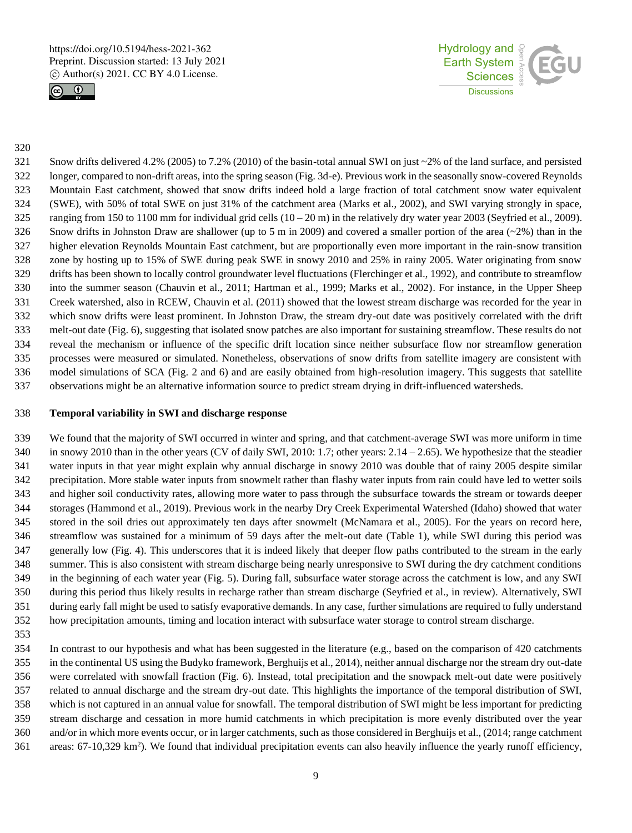



#### 

 Snow drifts delivered 4.2% (2005) to 7.2% (2010) of the basin-total annual SWI on just ~2% of the land surface, and persisted longer, compared to non-drift areas, into the spring season (Fig. 3d-e). Previous work in the seasonally snow-covered Reynolds Mountain East catchment, showed that snow drifts indeed hold a large fraction of total catchment snow water equivalent (SWE), with 50% of total SWE on just 31% of the catchment area (Marks et al., 2002), and SWI varying strongly in space, 325 ranging from 150 to 1100 mm for individual grid cells  $(10-20 \text{ m})$  in the relatively dry water year 2003 (Seyfried et al., 2009). 326 Snow drifts in Johnston Draw are shallower (up to 5 m in 2009) and covered a smaller portion of the area  $(-2\%)$  than in the higher elevation Reynolds Mountain East catchment, but are proportionally even more important in the rain-snow transition zone by hosting up to 15% of SWE during peak SWE in snowy 2010 and 25% in rainy 2005. Water originating from snow drifts has been shown to locally control groundwater level fluctuations (Flerchinger et al., 1992), and contribute to streamflow into the summer season (Chauvin et al., 2011; Hartman et al., 1999; Marks et al., 2002). For instance, in the Upper Sheep Creek watershed, also in RCEW, Chauvin et al. (2011) showed that the lowest stream discharge was recorded for the year in which snow drifts were least prominent. In Johnston Draw, the stream dry-out date was positively correlated with the drift melt-out date (Fig. 6), suggesting that isolated snow patches are also important for sustaining streamflow. These results do not reveal the mechanism or influence of the specific drift location since neither subsurface flow nor streamflow generation processes were measured or simulated. Nonetheless, observations of snow drifts from satellite imagery are consistent with model simulations of SCA (Fig. 2 and 6) and are easily obtained from high-resolution imagery. This suggests that satellite observations might be an alternative information source to predict stream drying in drift-influenced watersheds.

# **Temporal variability in SWI and discharge response**

 We found that the majority of SWI occurred in winter and spring, and that catchment-average SWI was more uniform in time in snowy 2010 than in the other years (CV of daily SWI, 2010: 1.7; other years: 2.14 – 2.65). We hypothesize that the steadier water inputs in that year might explain why annual discharge in snowy 2010 was double that of rainy 2005 despite similar precipitation. More stable water inputs from snowmelt rather than flashy water inputs from rain could have led to wetter soils and higher soil conductivity rates, allowing more water to pass through the subsurface towards the stream or towards deeper storages (Hammond et al., 2019). Previous work in the nearby Dry Creek Experimental Watershed (Idaho) showed that water stored in the soil dries out approximately ten days after snowmelt (McNamara et al., 2005). For the years on record here, streamflow was sustained for a minimum of 59 days after the melt-out date (Table 1), while SWI during this period was generally low (Fig. 4). This underscores that it is indeed likely that deeper flow paths contributed to the stream in the early summer. This is also consistent with stream discharge being nearly unresponsive to SWI during the dry catchment conditions in the beginning of each water year (Fig. 5). During fall, subsurface water storage across the catchment is low, and any SWI during this period thus likely results in recharge rather than stream discharge (Seyfried et al., in review). Alternatively, SWI during early fall might be used to satisfy evaporative demands. In any case, further simulations are required to fully understand how precipitation amounts, timing and location interact with subsurface water storage to control stream discharge.

 In contrast to our hypothesis and what has been suggested in the literature (e.g., based on the comparison of 420 catchments in the continental US using the Budyko framework, Berghuijs et al., 2014), neither annual discharge nor the stream dry out-date were correlated with snowfall fraction (Fig. 6). Instead, total precipitation and the snowpack melt-out date were positively related to annual discharge and the stream dry-out date. This highlights the importance of the temporal distribution of SWI, which is not captured in an annual value for snowfall. The temporal distribution of SWI might be less important for predicting stream discharge and cessation in more humid catchments in which precipitation is more evenly distributed over the year and/or in which more events occur, or in larger catchments, such as those considered in Berghuijs et al., (2014; range catchment areas:  $67-10,329 \text{ km}^2$ ). We found that individual precipitation events can also heavily influence the yearly runoff efficiency,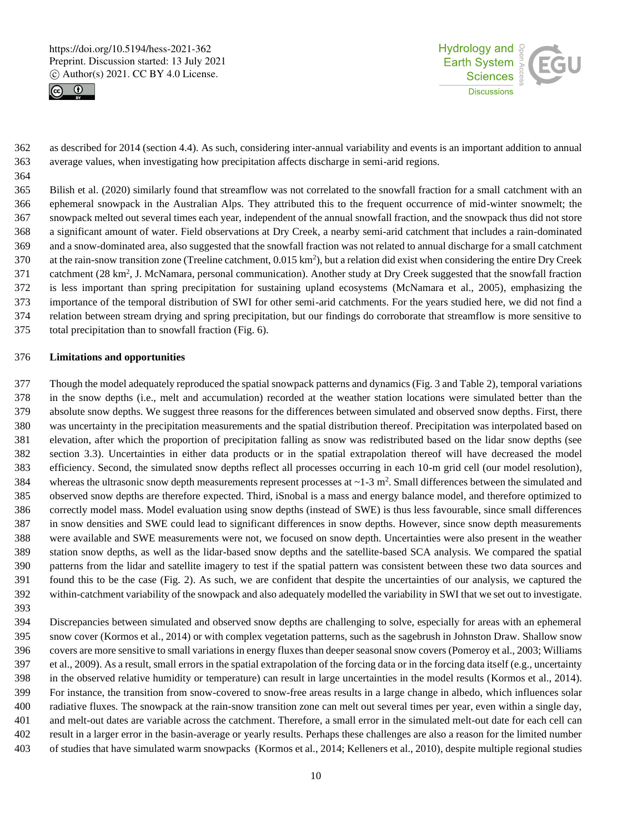



 as described for 2014 (section 4.4). As such, considering inter-annual variability and events is an important addition to annual average values, when investigating how precipitation affects discharge in semi-arid regions.

 Bilish et al. (2020) similarly found that streamflow was not correlated to the snowfall fraction for a small catchment with an ephemeral snowpack in the Australian Alps. They attributed this to the frequent occurrence of mid-winter snowmelt; the snowpack melted out several times each year, independent of the annual snowfall fraction, and the snowpack thus did not store a significant amount of water. Field observations at Dry Creek, a nearby semi-arid catchment that includes a rain-dominated and a snow-dominated area, also suggested that the snowfall fraction was not related to annual discharge for a small catchment 370 at the rain-snow transition zone (Treeline catchment, 0.015 km<sup>2</sup>), but a relation did exist when considering the entire Dry Creek 371 catchment  $(28 \text{ km}^2, \text{J}$ . McNamara, personal communication). Another study at Dry Creek suggested that the snowfall fraction is less important than spring precipitation for sustaining upland ecosystems (McNamara et al., 2005), emphasizing the importance of the temporal distribution of SWI for other semi-arid catchments. For the years studied here, we did not find a relation between stream drying and spring precipitation, but our findings do corroborate that streamflow is more sensitive to total precipitation than to snowfall fraction (Fig. 6).

#### **Limitations and opportunities**

 Though the model adequately reproduced the spatial snowpack patterns and dynamics (Fig. 3 and Table 2), temporal variations in the snow depths (i.e., melt and accumulation) recorded at the weather station locations were simulated better than the absolute snow depths. We suggest three reasons for the differences between simulated and observed snow depths. First, there was uncertainty in the precipitation measurements and the spatial distribution thereof. Precipitation was interpolated based on elevation, after which the proportion of precipitation falling as snow was redistributed based on the lidar snow depths (see section 3.3). Uncertainties in either data products or in the spatial extrapolation thereof will have decreased the model efficiency. Second, the simulated snow depths reflect all processes occurring in each 10-m grid cell (our model resolution), 384 whereas the ultrasonic snow depth measurements represent processes at  $\sim$  1-3 m<sup>2</sup>. Small differences between the simulated and observed snow depths are therefore expected. Third, iSnobal is a mass and energy balance model, and therefore optimized to correctly model mass. Model evaluation using snow depths (instead of SWE) is thus less favourable, since small differences in snow densities and SWE could lead to significant differences in snow depths. However, since snow depth measurements were available and SWE measurements were not, we focused on snow depth. Uncertainties were also present in the weather station snow depths, as well as the lidar-based snow depths and the satellite-based SCA analysis. We compared the spatial patterns from the lidar and satellite imagery to test if the spatial pattern was consistent between these two data sources and found this to be the case (Fig. 2). As such, we are confident that despite the uncertainties of our analysis, we captured the within-catchment variability of the snowpack and also adequately modelled the variability in SWI that we set out to investigate.

 Discrepancies between simulated and observed snow depths are challenging to solve, especially for areas with an ephemeral snow cover (Kormos et al., 2014) or with complex vegetation patterns, such as the sagebrush in Johnston Draw. Shallow snow covers are more sensitive to small variations in energy fluxes than deeper seasonal snow covers (Pomeroy et al., 2003; Williams et al., 2009). As a result, small errors in the spatial extrapolation of the forcing data or in the forcing data itself (e.g., uncertainty in the observed relative humidity or temperature) can result in large uncertainties in the model results (Kormos et al., 2014). For instance, the transition from snow-covered to snow-free areas results in a large change in albedo, which influences solar radiative fluxes. The snowpack at the rain-snow transition zone can melt out several times per year, even within a single day, and melt-out dates are variable across the catchment. Therefore, a small error in the simulated melt-out date for each cell can result in a larger error in the basin-average or yearly results. Perhaps these challenges are also a reason for the limited number of studies that have simulated warm snowpacks (Kormos et al., 2014; Kelleners et al., 2010), despite multiple regional studies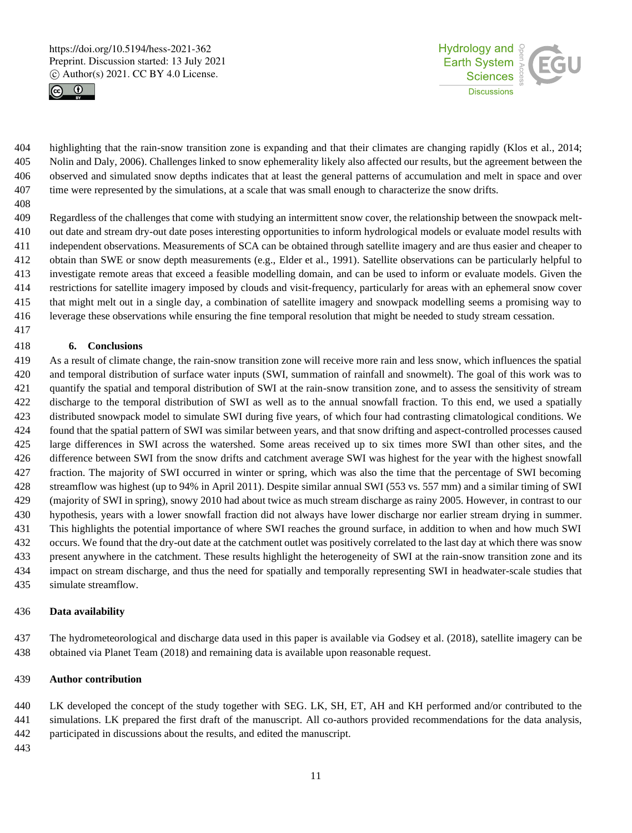



 highlighting that the rain-snow transition zone is expanding and that their climates are changing rapidly (Klos et al., 2014; Nolin and Daly, 2006). Challenges linked to snow ephemerality likely also affected our results, but the agreement between the observed and simulated snow depths indicates that at least the general patterns of accumulation and melt in space and over time were represented by the simulations, at a scale that was small enough to characterize the snow drifts.

 Regardless of the challenges that come with studying an intermittent snow cover, the relationship between the snowpack melt- out date and stream dry-out date poses interesting opportunities to inform hydrological models or evaluate model results with independent observations. Measurements of SCA can be obtained through satellite imagery and are thus easier and cheaper to obtain than SWE or snow depth measurements (e.g., Elder et al., 1991). Satellite observations can be particularly helpful to investigate remote areas that exceed a feasible modelling domain, and can be used to inform or evaluate models. Given the restrictions for satellite imagery imposed by clouds and visit-frequency, particularly for areas with an ephemeral snow cover that might melt out in a single day, a combination of satellite imagery and snowpack modelling seems a promising way to leverage these observations while ensuring the fine temporal resolution that might be needed to study stream cessation.

## **6. Conclusions**

 As a result of climate change, the rain-snow transition zone will receive more rain and less snow, which influences the spatial and temporal distribution of surface water inputs (SWI, summation of rainfall and snowmelt). The goal of this work was to quantify the spatial and temporal distribution of SWI at the rain-snow transition zone, and to assess the sensitivity of stream discharge to the temporal distribution of SWI as well as to the annual snowfall fraction. To this end, we used a spatially distributed snowpack model to simulate SWI during five years, of which four had contrasting climatological conditions. We found that the spatial pattern of SWI was similar between years, and that snow drifting and aspect-controlled processes caused large differences in SWI across the watershed. Some areas received up to six times more SWI than other sites, and the difference between SWI from the snow drifts and catchment average SWI was highest for the year with the highest snowfall fraction. The majority of SWI occurred in winter or spring, which was also the time that the percentage of SWI becoming streamflow was highest (up to 94% in April 2011). Despite similar annual SWI (553 vs. 557 mm) and a similar timing of SWI (majority of SWI in spring), snowy 2010 had about twice as much stream discharge as rainy 2005. However, in contrast to our hypothesis, years with a lower snowfall fraction did not always have lower discharge nor earlier stream drying in summer. This highlights the potential importance of where SWI reaches the ground surface, in addition to when and how much SWI occurs. We found that the dry-out date at the catchment outlet was positively correlated to the last day at which there was snow present anywhere in the catchment. These results highlight the heterogeneity of SWI at the rain-snow transition zone and its impact on stream discharge, and thus the need for spatially and temporally representing SWI in headwater-scale studies that simulate streamflow.

## **Data availability**

 The hydrometeorological and discharge data used in this paper is available via Godsey et al. (2018), satellite imagery can be obtained via Planet Team (2018) and remaining data is available upon reasonable request.

## **Author contribution**

 LK developed the concept of the study together with SEG. LK, SH, ET, AH and KH performed and/or contributed to the simulations. LK prepared the first draft of the manuscript. All co-authors provided recommendations for the data analysis, participated in discussions about the results, and edited the manuscript.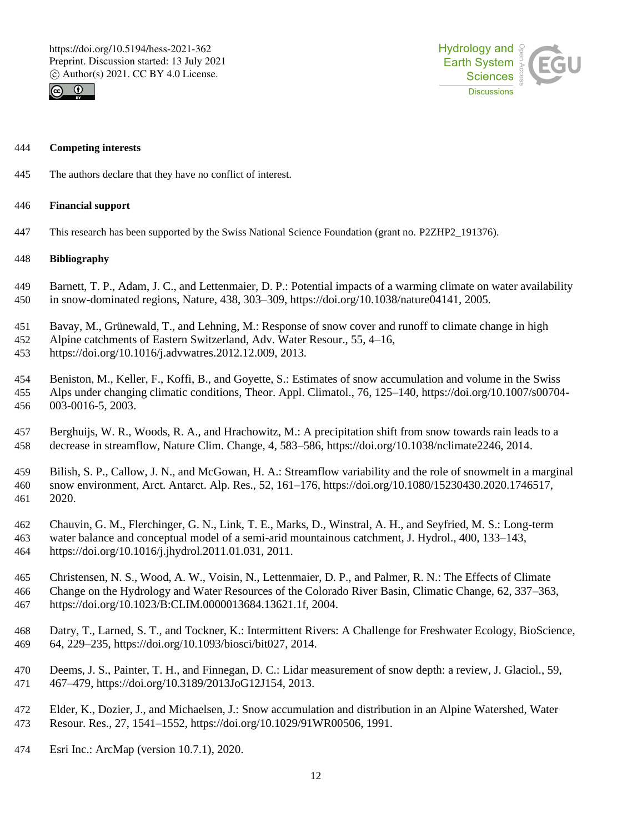



#### **Competing interests**

The authors declare that they have no conflict of interest.

# **Financial support**

This research has been supported by the Swiss National Science Foundation (grant no. P2ZHP2\_191376).

# **Bibliography**

- Barnett, T. P., Adam, J. C., and Lettenmaier, D. P.: Potential impacts of a warming climate on water availability in snow-dominated regions, Nature, 438, 303–309, https://doi.org/10.1038/nature04141, 2005.
- Bavay, M., Grünewald, T., and Lehning, M.: Response of snow cover and runoff to climate change in high
- Alpine catchments of Eastern Switzerland, Adv. Water Resour., 55, 4–16,
- https://doi.org/10.1016/j.advwatres.2012.12.009, 2013.
- Beniston, M., Keller, F., Koffi, B., and Goyette, S.: Estimates of snow accumulation and volume in the Swiss Alps under changing climatic conditions, Theor. Appl. Climatol., 76, 125–140, https://doi.org/10.1007/s00704- 003-0016-5, 2003.
- Berghuijs, W. R., Woods, R. A., and Hrachowitz, M.: A precipitation shift from snow towards rain leads to a decrease in streamflow, Nature Clim. Change, 4, 583–586, https://doi.org/10.1038/nclimate2246, 2014.
- Bilish, S. P., Callow, J. N., and McGowan, H. A.: Streamflow variability and the role of snowmelt in a marginal snow environment, Arct. Antarct. Alp. Res., 52, 161–176, https://doi.org/10.1080/15230430.2020.1746517, 2020.
- Chauvin, G. M., Flerchinger, G. N., Link, T. E., Marks, D., Winstral, A. H., and Seyfried, M. S.: Long-term water balance and conceptual model of a semi-arid mountainous catchment, J. Hydrol., 400, 133–143, https://doi.org/10.1016/j.jhydrol.2011.01.031, 2011.
- Christensen, N. S., Wood, A. W., Voisin, N., Lettenmaier, D. P., and Palmer, R. N.: The Effects of Climate Change on the Hydrology and Water Resources of the Colorado River Basin, Climatic Change, 62, 337–363, https://doi.org/10.1023/B:CLIM.0000013684.13621.1f, 2004.
- Datry, T., Larned, S. T., and Tockner, K.: Intermittent Rivers: A Challenge for Freshwater Ecology, BioScience, 64, 229–235, https://doi.org/10.1093/biosci/bit027, 2014.
- Deems, J. S., Painter, T. H., and Finnegan, D. C.: Lidar measurement of snow depth: a review, J. Glaciol., 59, 467–479, https://doi.org/10.3189/2013JoG12J154, 2013.
- Elder, K., Dozier, J., and Michaelsen, J.: Snow accumulation and distribution in an Alpine Watershed, Water Resour. Res., 27, 1541–1552, https://doi.org/10.1029/91WR00506, 1991.
- Esri Inc.: ArcMap (version 10.7.1), 2020.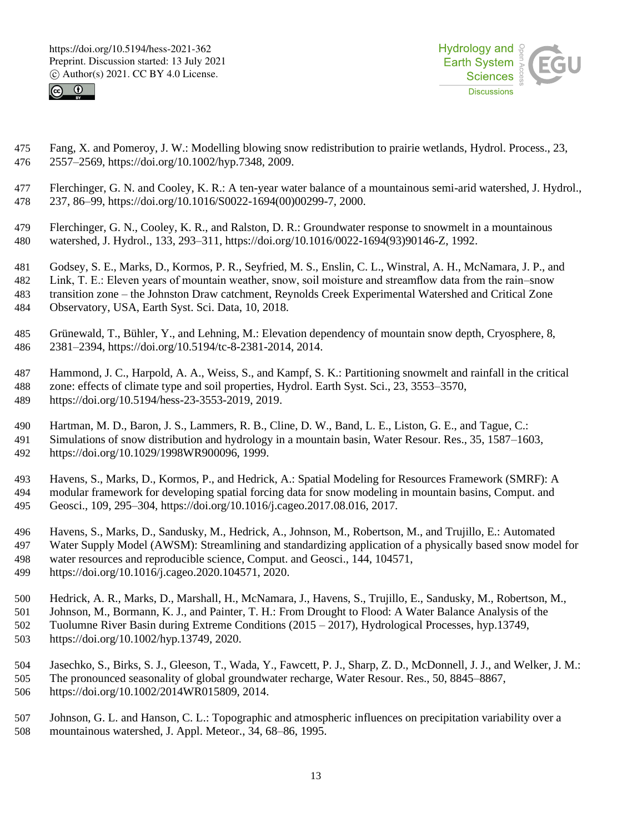



- Fang, X. and Pomeroy, J. W.: Modelling blowing snow redistribution to prairie wetlands, Hydrol. Process., 23, 2557–2569, https://doi.org/10.1002/hyp.7348, 2009.
- Flerchinger, G. N. and Cooley, K. R.: A ten-year water balance of a mountainous semi-arid watershed, J. Hydrol., 237, 86–99, https://doi.org/10.1016/S0022-1694(00)00299-7, 2000.
- Flerchinger, G. N., Cooley, K. R., and Ralston, D. R.: Groundwater response to snowmelt in a mountainous watershed, J. Hydrol., 133, 293–311, https://doi.org/10.1016/0022-1694(93)90146-Z, 1992.
- Godsey, S. E., Marks, D., Kormos, P. R., Seyfried, M. S., Enslin, C. L., Winstral, A. H., McNamara, J. P., and
- Link, T. E.: Eleven years of mountain weather, snow, soil moisture and streamflow data from the rain–snow
- transition zone the Johnston Draw catchment, Reynolds Creek Experimental Watershed and Critical Zone
	- Observatory, USA, Earth Syst. Sci. Data, 10, 2018.
	- Grünewald, T., Bühler, Y., and Lehning, M.: Elevation dependency of mountain snow depth, Cryosphere, 8, 2381–2394, https://doi.org/10.5194/tc-8-2381-2014, 2014.
	- Hammond, J. C., Harpold, A. A., Weiss, S., and Kampf, S. K.: Partitioning snowmelt and rainfall in the critical zone: effects of climate type and soil properties, Hydrol. Earth Syst. Sci., 23, 3553–3570, https://doi.org/10.5194/hess-23-3553-2019, 2019.
	- Hartman, M. D., Baron, J. S., Lammers, R. B., Cline, D. W., Band, L. E., Liston, G. E., and Tague, C.: Simulations of snow distribution and hydrology in a mountain basin, Water Resour. Res., 35, 1587–1603, https://doi.org/10.1029/1998WR900096, 1999.
	- Havens, S., Marks, D., Kormos, P., and Hedrick, A.: Spatial Modeling for Resources Framework (SMRF): A modular framework for developing spatial forcing data for snow modeling in mountain basins, Comput. and Geosci., 109, 295–304, https://doi.org/10.1016/j.cageo.2017.08.016, 2017.
	- Havens, S., Marks, D., Sandusky, M., Hedrick, A., Johnson, M., Robertson, M., and Trujillo, E.: Automated Water Supply Model (AWSM): Streamlining and standardizing application of a physically based snow model for water resources and reproducible science, Comput. and Geosci., 144, 104571,
	- https://doi.org/10.1016/j.cageo.2020.104571, 2020.
	- Hedrick, A. R., Marks, D., Marshall, H., McNamara, J., Havens, S., Trujillo, E., Sandusky, M., Robertson, M.,
	- Johnson, M., Bormann, K. J., and Painter, T. H.: From Drought to Flood: A Water Balance Analysis of the Tuolumne River Basin during Extreme Conditions (2015 – 2017), Hydrological Processes, hyp.13749, https://doi.org/10.1002/hyp.13749, 2020.
	- Jasechko, S., Birks, S. J., Gleeson, T., Wada, Y., Fawcett, P. J., Sharp, Z. D., McDonnell, J. J., and Welker, J. M.: The pronounced seasonality of global groundwater recharge, Water Resour. Res., 50, 8845–8867, https://doi.org/10.1002/2014WR015809, 2014.
	- Johnson, G. L. and Hanson, C. L.: Topographic and atmospheric influences on precipitation variability over a mountainous watershed, J. Appl. Meteor., 34, 68–86, 1995.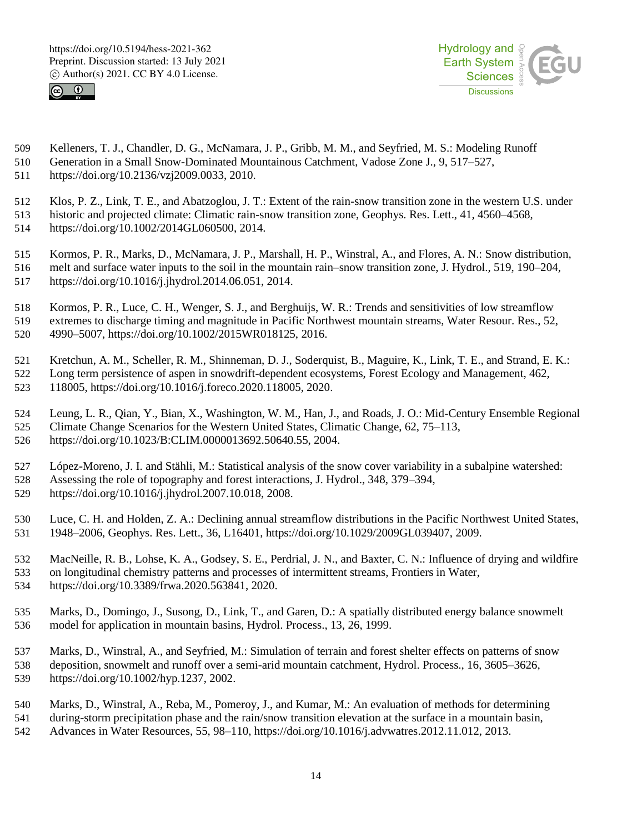



- Kelleners, T. J., Chandler, D. G., McNamara, J. P., Gribb, M. M., and Seyfried, M. S.: Modeling Runoff
- Generation in a Small Snow-Dominated Mountainous Catchment, Vadose Zone J., 9, 517–527, https://doi.org/10.2136/vzj2009.0033, 2010.
- Klos, P. Z., Link, T. E., and Abatzoglou, J. T.: Extent of the rain-snow transition zone in the western U.S. under historic and projected climate: Climatic rain-snow transition zone, Geophys. Res. Lett., 41, 4560–4568,
- https://doi.org/10.1002/2014GL060500, 2014.
- Kormos, P. R., Marks, D., McNamara, J. P., Marshall, H. P., Winstral, A., and Flores, A. N.: Snow distribution, melt and surface water inputs to the soil in the mountain rain–snow transition zone, J. Hydrol., 519, 190–204, https://doi.org/10.1016/j.jhydrol.2014.06.051, 2014.
- Kormos, P. R., Luce, C. H., Wenger, S. J., and Berghuijs, W. R.: Trends and sensitivities of low streamflow extremes to discharge timing and magnitude in Pacific Northwest mountain streams, Water Resour. Res., 52,
- 4990–5007, https://doi.org/10.1002/2015WR018125, 2016.
- Kretchun, A. M., Scheller, R. M., Shinneman, D. J., Soderquist, B., Maguire, K., Link, T. E., and Strand, E. K.: Long term persistence of aspen in snowdrift-dependent ecosystems, Forest Ecology and Management, 462,
- 118005, https://doi.org/10.1016/j.foreco.2020.118005, 2020.
- Leung, L. R., Qian, Y., Bian, X., Washington, W. M., Han, J., and Roads, J. O.: Mid-Century Ensemble Regional Climate Change Scenarios for the Western United States, Climatic Change, 62, 75–113,
- https://doi.org/10.1023/B:CLIM.0000013692.50640.55, 2004.
- López-Moreno, J. I. and Stähli, M.: Statistical analysis of the snow cover variability in a subalpine watershed:
- Assessing the role of topography and forest interactions, J. Hydrol., 348, 379–394,
- https://doi.org/10.1016/j.jhydrol.2007.10.018, 2008.
- Luce, C. H. and Holden, Z. A.: Declining annual streamflow distributions in the Pacific Northwest United States, 1948–2006, Geophys. Res. Lett., 36, L16401, https://doi.org/10.1029/2009GL039407, 2009.
- MacNeille, R. B., Lohse, K. A., Godsey, S. E., Perdrial, J. N., and Baxter, C. N.: Influence of drying and wildfire on longitudinal chemistry patterns and processes of intermittent streams, Frontiers in Water, https://doi.org/10.3389/frwa.2020.563841, 2020.
- Marks, D., Domingo, J., Susong, D., Link, T., and Garen, D.: A spatially distributed energy balance snowmelt model for application in mountain basins, Hydrol. Process., 13, 26, 1999.
- Marks, D., Winstral, A., and Seyfried, M.: Simulation of terrain and forest shelter effects on patterns of snow deposition, snowmelt and runoff over a semi-arid mountain catchment, Hydrol. Process., 16, 3605–3626, https://doi.org/10.1002/hyp.1237, 2002.
- Marks, D., Winstral, A., Reba, M., Pomeroy, J., and Kumar, M.: An evaluation of methods for determining
- during-storm precipitation phase and the rain/snow transition elevation at the surface in a mountain basin,
- Advances in Water Resources, 55, 98–110, https://doi.org/10.1016/j.advwatres.2012.11.012, 2013.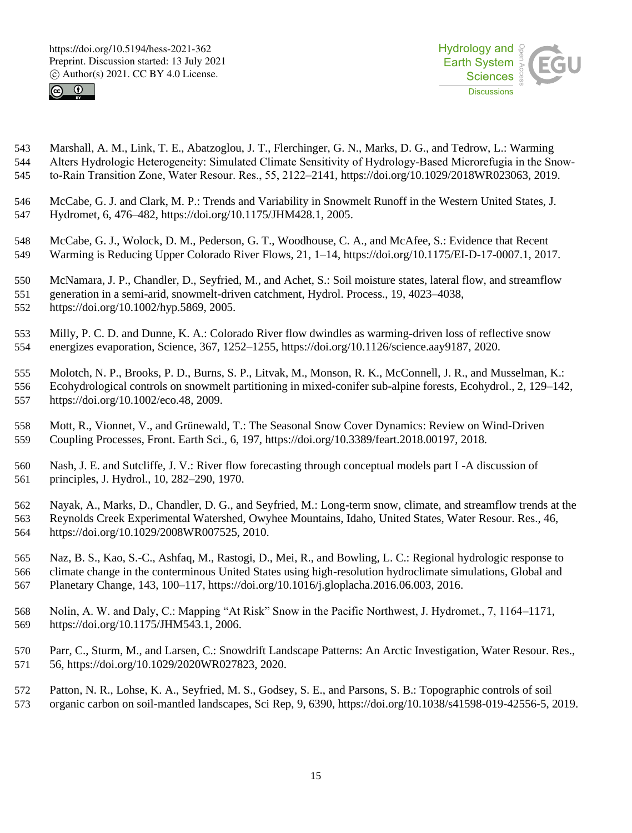



 Marshall, A. M., Link, T. E., Abatzoglou, J. T., Flerchinger, G. N., Marks, D. G., and Tedrow, L.: Warming 544 Alters Hydrologic Heterogeneity: Simulated Climate Sensitivity of Hydrology-Based Microrefugia in the Snow-to‐Rain Transition Zone, Water Resour. Res., 55, 2122–2141, https://doi.org/10.1029/2018WR023063, 2019.

- McCabe, G. J. and Clark, M. P.: Trends and Variability in Snowmelt Runoff in the Western United States, J. Hydromet, 6, 476–482, https://doi.org/10.1175/JHM428.1, 2005.
- McCabe, G. J., Wolock, D. M., Pederson, G. T., Woodhouse, C. A., and McAfee, S.: Evidence that Recent Warming is Reducing Upper Colorado River Flows, 21, 1–14, https://doi.org/10.1175/EI-D-17-0007.1, 2017.
- McNamara, J. P., Chandler, D., Seyfried, M., and Achet, S.: Soil moisture states, lateral flow, and streamflow
- generation in a semi-arid, snowmelt-driven catchment, Hydrol. Process., 19, 4023–4038,
- https://doi.org/10.1002/hyp.5869, 2005.
- Milly, P. C. D. and Dunne, K. A.: Colorado River flow dwindles as warming-driven loss of reflective snow energizes evaporation, Science, 367, 1252–1255, https://doi.org/10.1126/science.aay9187, 2020.
- Molotch, N. P., Brooks, P. D., Burns, S. P., Litvak, M., Monson, R. K., McConnell, J. R., and Musselman, K.: Ecohydrological controls on snowmelt partitioning in mixed-conifer sub-alpine forests, Ecohydrol., 2, 129–142, https://doi.org/10.1002/eco.48, 2009.
- Mott, R., Vionnet, V., and Grünewald, T.: The Seasonal Snow Cover Dynamics: Review on Wind-Driven Coupling Processes, Front. Earth Sci., 6, 197, https://doi.org/10.3389/feart.2018.00197, 2018.
- Nash, J. E. and Sutcliffe, J. V.: River flow forecasting through conceptual models part I -A discussion of principles, J. Hydrol., 10, 282–290, 1970.
- Nayak, A., Marks, D., Chandler, D. G., and Seyfried, M.: Long-term snow, climate, and streamflow trends at the Reynolds Creek Experimental Watershed, Owyhee Mountains, Idaho, United States, Water Resour. Res., 46, https://doi.org/10.1029/2008WR007525, 2010.
- Naz, B. S., Kao, S.-C., Ashfaq, M., Rastogi, D., Mei, R., and Bowling, L. C.: Regional hydrologic response to climate change in the conterminous United States using high-resolution hydroclimate simulations, Global and Planetary Change, 143, 100–117, https://doi.org/10.1016/j.gloplacha.2016.06.003, 2016.
- Nolin, A. W. and Daly, C.: Mapping "At Risk" Snow in the Pacific Northwest, J. Hydromet., 7, 1164–1171, https://doi.org/10.1175/JHM543.1, 2006.
- Parr, C., Sturm, M., and Larsen, C.: Snowdrift Landscape Patterns: An Arctic Investigation, Water Resour. Res., 56, https://doi.org/10.1029/2020WR027823, 2020.
- Patton, N. R., Lohse, K. A., Seyfried, M. S., Godsey, S. E., and Parsons, S. B.: Topographic controls of soil organic carbon on soil-mantled landscapes, Sci Rep, 9, 6390, https://doi.org/10.1038/s41598-019-42556-5, 2019.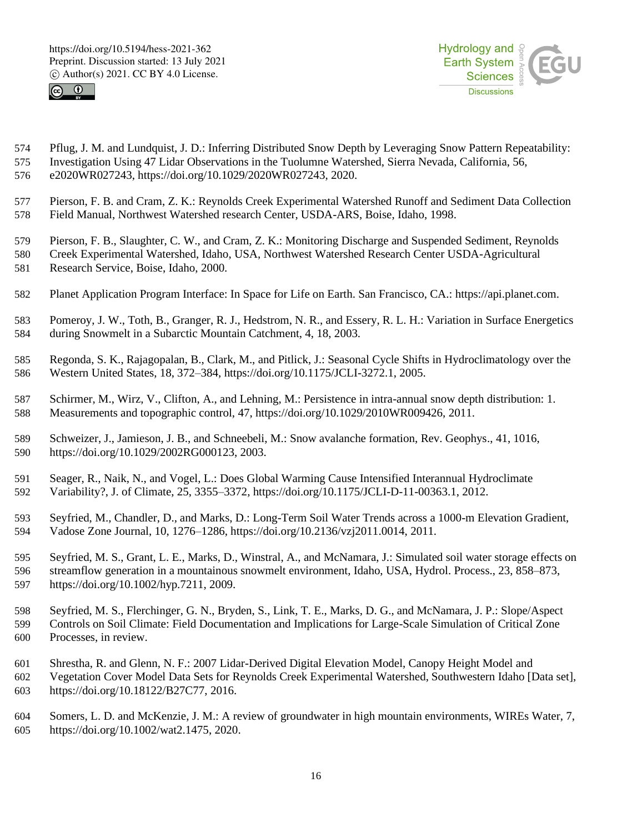



- Pflug, J. M. and Lundquist, J. D.: Inferring Distributed Snow Depth by Leveraging Snow Pattern Repeatability: Investigation Using 47 Lidar Observations in the Tuolumne Watershed, Sierra Nevada, California, 56, e2020WR027243, https://doi.org/10.1029/2020WR027243, 2020.
- Pierson, F. B. and Cram, Z. K.: Reynolds Creek Experimental Watershed Runoff and Sediment Data Collection Field Manual, Northwest Watershed research Center, USDA-ARS, Boise, Idaho, 1998.
- Pierson, F. B., Slaughter, C. W., and Cram, Z. K.: Monitoring Discharge and Suspended Sediment, Reynolds
- Creek Experimental Watershed, Idaho, USA, Northwest Watershed Research Center USDA-Agricultural Research Service, Boise, Idaho, 2000.
	- Planet Application Program Interface: In Space for Life on Earth. San Francisco, CA.: https://api.planet.com.
- Pomeroy, J. W., Toth, B., Granger, R. J., Hedstrom, N. R., and Essery, R. L. H.: Variation in Surface Energetics during Snowmelt in a Subarctic Mountain Catchment, 4, 18, 2003.
- Regonda, S. K., Rajagopalan, B., Clark, M., and Pitlick, J.: Seasonal Cycle Shifts in Hydroclimatology over the Western United States, 18, 372–384, https://doi.org/10.1175/JCLI-3272.1, 2005.
- Schirmer, M., Wirz, V., Clifton, A., and Lehning, M.: Persistence in intra-annual snow depth distribution: 1. Measurements and topographic control, 47, https://doi.org/10.1029/2010WR009426, 2011.
- Schweizer, J., Jamieson, J. B., and Schneebeli, M.: Snow avalanche formation, Rev. Geophys., 41, 1016, https://doi.org/10.1029/2002RG000123, 2003.
- Seager, R., Naik, N., and Vogel, L.: Does Global Warming Cause Intensified Interannual Hydroclimate Variability?, J. of Climate, 25, 3355–3372, https://doi.org/10.1175/JCLI-D-11-00363.1, 2012.
- Seyfried, M., Chandler, D., and Marks, D.: Long-Term Soil Water Trends across a 1000-m Elevation Gradient, Vadose Zone Journal, 10, 1276–1286, https://doi.org/10.2136/vzj2011.0014, 2011.
- Seyfried, M. S., Grant, L. E., Marks, D., Winstral, A., and McNamara, J.: Simulated soil water storage effects on streamflow generation in a mountainous snowmelt environment, Idaho, USA, Hydrol. Process., 23, 858–873, https://doi.org/10.1002/hyp.7211, 2009.
- Seyfried, M. S., Flerchinger, G. N., Bryden, S., Link, T. E., Marks, D. G., and McNamara, J. P.: Slope/Aspect Controls on Soil Climate: Field Documentation and Implications for Large-Scale Simulation of Critical Zone Processes, in review.
- Shrestha, R. and Glenn, N. F.: 2007 Lidar-Derived Digital Elevation Model, Canopy Height Model and Vegetation Cover Model Data Sets for Reynolds Creek Experimental Watershed, Southwestern Idaho [Data set],
- https://doi.org/10.18122/B27C77, 2016.
- Somers, L. D. and McKenzie, J. M.: A review of groundwater in high mountain environments, WIREs Water, 7, https://doi.org/10.1002/wat2.1475, 2020.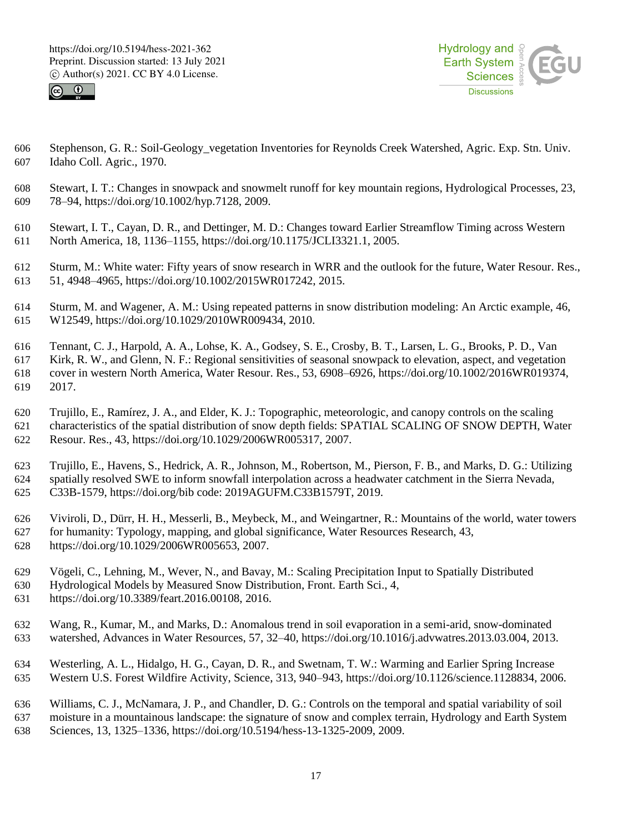



- Stephenson, G. R.: Soil-Geology\_vegetation Inventories for Reynolds Creek Watershed, Agric. Exp. Stn. Univ. Idaho Coll. Agric., 1970.
- Stewart, I. T.: Changes in snowpack and snowmelt runoff for key mountain regions, Hydrological Processes, 23, 78–94, https://doi.org/10.1002/hyp.7128, 2009.
- Stewart, I. T., Cayan, D. R., and Dettinger, M. D.: Changes toward Earlier Streamflow Timing across Western North America, 18, 1136–1155, https://doi.org/10.1175/JCLI3321.1, 2005.
- Sturm, M.: White water: Fifty years of snow research in WRR and the outlook for the future, Water Resour. Res., 51, 4948–4965, https://doi.org/10.1002/2015WR017242, 2015.
- Sturm, M. and Wagener, A. M.: Using repeated patterns in snow distribution modeling: An Arctic example, 46, W12549, https://doi.org/10.1029/2010WR009434, 2010.
- Tennant, C. J., Harpold, A. A., Lohse, K. A., Godsey, S. E., Crosby, B. T., Larsen, L. G., Brooks, P. D., Van Kirk, R. W., and Glenn, N. F.: Regional sensitivities of seasonal snowpack to elevation, aspect, and vegetation cover in western North America, Water Resour. Res., 53, 6908–6926, https://doi.org/10.1002/2016WR019374, 2017.
- Trujillo, E., Ramírez, J. A., and Elder, K. J.: Topographic, meteorologic, and canopy controls on the scaling characteristics of the spatial distribution of snow depth fields: SPATIAL SCALING OF SNOW DEPTH, Water Resour. Res., 43, https://doi.org/10.1029/2006WR005317, 2007.
- Trujillo, E., Havens, S., Hedrick, A. R., Johnson, M., Robertson, M., Pierson, F. B., and Marks, D. G.: Utilizing spatially resolved SWE to inform snowfall interpolation across a headwater catchment in the Sierra Nevada, C33B-1579, https://doi.org/bib code: 2019AGUFM.C33B1579T, 2019.
- Viviroli, D., Dürr, H. H., Messerli, B., Meybeck, M., and Weingartner, R.: Mountains of the world, water towers for humanity: Typology, mapping, and global significance, Water Resources Research, 43, https://doi.org/10.1029/2006WR005653, 2007.
- Vögeli, C., Lehning, M., Wever, N., and Bavay, M.: Scaling Precipitation Input to Spatially Distributed
- Hydrological Models by Measured Snow Distribution, Front. Earth Sci., 4,
- https://doi.org/10.3389/feart.2016.00108, 2016.
- Wang, R., Kumar, M., and Marks, D.: Anomalous trend in soil evaporation in a semi-arid, snow-dominated watershed, Advances in Water Resources, 57, 32–40, https://doi.org/10.1016/j.advwatres.2013.03.004, 2013.
- Westerling, A. L., Hidalgo, H. G., Cayan, D. R., and Swetnam, T. W.: Warming and Earlier Spring Increase Western U.S. Forest Wildfire Activity, Science, 313, 940–943, https://doi.org/10.1126/science.1128834, 2006.
- Williams, C. J., McNamara, J. P., and Chandler, D. G.: Controls on the temporal and spatial variability of soil moisture in a mountainous landscape: the signature of snow and complex terrain, Hydrology and Earth System Sciences, 13, 1325–1336, https://doi.org/10.5194/hess-13-1325-2009, 2009.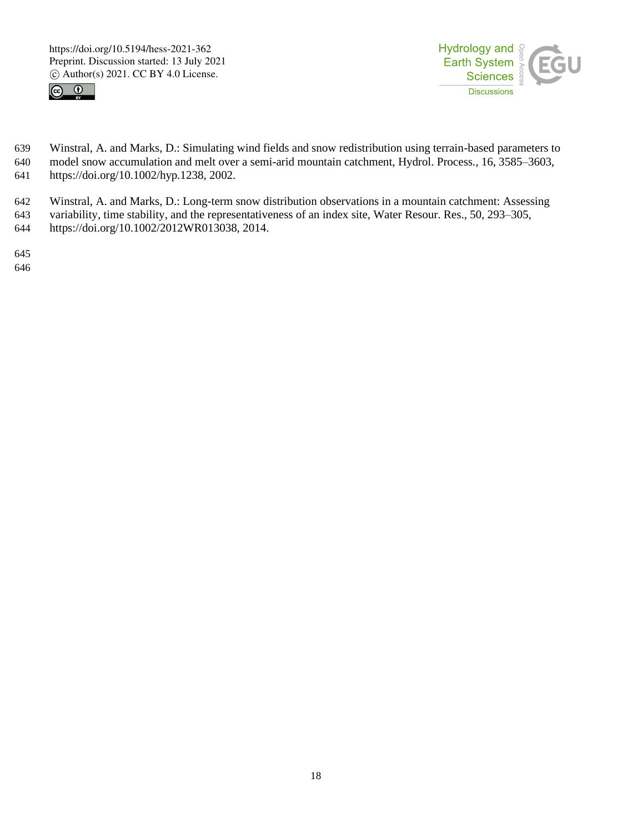



 Winstral, A. and Marks, D.: Simulating wind fields and snow redistribution using terrain-based parameters to model snow accumulation and melt over a semi-arid mountain catchment, Hydrol. Process., 16, 3585–3603, https://doi.org/10.1002/hyp.1238, 2002.

 Winstral, A. and Marks, D.: Long-term snow distribution observations in a mountain catchment: Assessing variability, time stability, and the representativeness of an index site, Water Resour. Res., 50, 293–305, https://doi.org/10.1002/2012WR013038, 2014.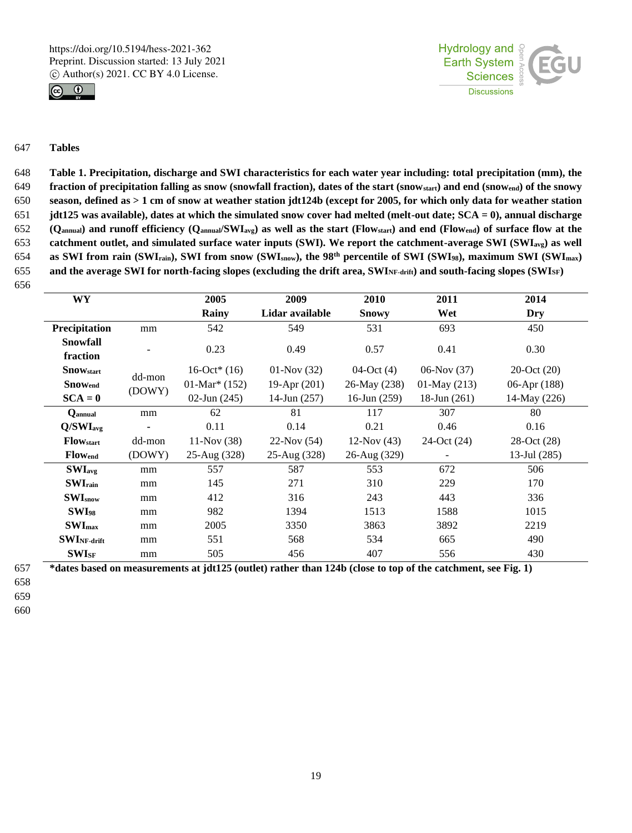



# 647 **Tables**

 **Table 1. Precipitation, discharge and SWI characteristics for each water year including: total precipitation (mm), the fraction of precipitation falling as snow (snowfall fraction), dates of the start (snowstart) and end (snowend) of the snowy season, defined as > 1 cm of snow at weather station jdt124b (except for 2005, for which only data for weather station jdt125 was available), dates at which the simulated snow cover had melted (melt-out date; SCA = 0), annual discharge (Qannual) and runoff efficiency (Qannual/SWIavg) as well as the start (Flowstart) and end (Flowend) of surface flow at the catchment outlet, and simulated surface water inputs (SWI). We report the catchment-average SWI (SWIavg) as well as SWI from rain (SWI<sub>rain</sub>), SWI from snow (SWI<sub>snow</sub>), the 98<sup>th</sup> percentile of SWI (SWI<sub>98</sub>), maximum SWI (SWI<sub>max</sub>) and the average SWI for north-facing slopes (excluding the drift area, SWINF-drift) and south-facing slopes (SWISF)** 656

| <b>WY</b>                                |                    | 2005                        | 2009            | 2010           | 2011                     | 2014           |  |
|------------------------------------------|--------------------|-----------------------------|-----------------|----------------|--------------------------|----------------|--|
|                                          |                    | Rainy                       | Lidar available | <b>Snowy</b>   | Wet                      | Dry            |  |
| Precipitation                            | mm                 | 542                         | 549             | 531            | 693                      | 450            |  |
| <b>Snowfall</b>                          |                    | 0.23                        | 0.49            | 0.57           | 0.41                     | 0.30           |  |
| fraction<br><b>Snow</b> <sub>start</sub> |                    | 16-Oct* $(16)$              | $01-Nov(32)$    | 04-Oct $(4)$   | $06-Nov(37)$             | $20-Oct(20)$   |  |
| <b>Snowend</b>                           | dd-mon             | 01-Mar <sup>*</sup> $(152)$ | 19-Apr (201)    | 26-May (238)   | $01-May(213)$            | 06-Apr $(188)$ |  |
| $SCA = 0$                                | (DOWY)             | $02$ -Jun $(245)$           | 14-Jun $(257)$  | 16-Jun $(259)$ | $18$ -Jun $(261)$        | 14-May (226)   |  |
| Qannual                                  | mm                 | 62                          | 81              | 117            | 307                      | 80             |  |
| Q/SWI <sub>avg</sub>                     |                    | 0.11                        | 0.14            | 0.21           | 0.46                     | 0.16           |  |
| <b>Flow</b> start                        | dd-mon             | $11-Nov(38)$                | $22-Nov(54)$    | $12-Nov(43)$   | 24-Oct (24)              | 28-Oct (28)    |  |
| <b>Flow</b> <sub>end</sub>               | (DOWY)             | 25-Aug (328)                | 25-Aug (328)    | 26-Aug (329)   | $\overline{\phantom{0}}$ | 13-Jul $(285)$ |  |
| $SWI_{avg}$                              | 557<br>mm          |                             | 587             | 553            | 672                      | 506            |  |
| <b>SWI</b> rain                          | mm                 | 145                         | 271             | 310            | 229                      | 170            |  |
| SWI <sub>snow</sub>                      | mm                 | 412                         | 316             | 243            | 443                      | 336            |  |
| <b>SWI</b> <sub>98</sub>                 | mm                 | 982                         | 1394            | 1513           | 1588                     | 1015           |  |
| $SWI_{max}$                              | 2005<br>3350<br>mm |                             |                 | 3863<br>3892   |                          | 2219           |  |
| $SWI_{NF\text{-drift}}$                  | 551<br>mm          |                             | 568             | 534            | 665                      | 490            |  |
| $SWI_{SF}$                               | mm                 |                             | 456             | 407            | 556                      | 430            |  |

657 **\*dates based on measurements at jdt125 (outlet) rather than 124b (close to top of the catchment, see Fig. 1)**

- 658
- 659
- 660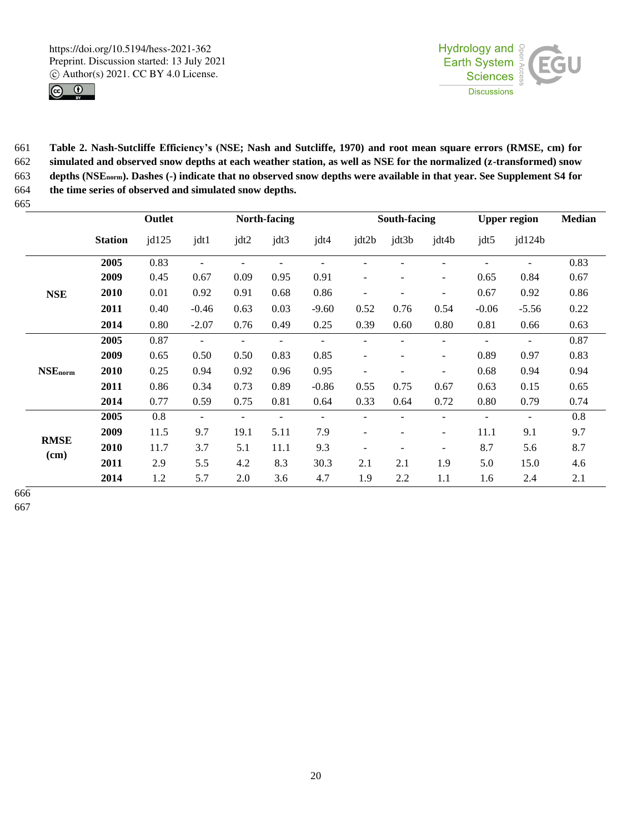



 **Table 2. Nash-Sutcliffe Efficiency's (NSE; Nash and Sutcliffe, 1970) and root mean square errors (RMSE, cm) for simulated and observed snow depths at each weather station, as well as NSE for the normalized (z-transformed) snow depths (NSEnorm). Dashes (-) indicate that no observed snow depths were available in that year. See Supplement S4 for the time series of observed and simulated snow depths.** 

| $\sim$              | Outlet         |       |                          | North-facing             |      | South-facing |                          |       | <b>Upper region</b>      |               | <b>Median</b> |      |
|---------------------|----------------|-------|--------------------------|--------------------------|------|--------------|--------------------------|-------|--------------------------|---------------|---------------|------|
|                     | <b>Station</b> | jdl25 | jdt1                     | jdt2                     | jdt3 | jdt4         | jdt2b                    | jdt3b | jdt4b                    | $\text{idt}5$ | jd124b        |      |
| <b>NSE</b>          | 2005           | 0.83  |                          |                          |      |              |                          |       |                          |               |               | 0.83 |
|                     | 2009           | 0.45  | 0.67                     | 0.09                     | 0.95 | 0.91         |                          |       |                          | 0.65          | 0.84          | 0.67 |
|                     | 2010           | 0.01  | 0.92                     | 0.91                     | 0.68 | 0.86         |                          |       | $\overline{a}$           | 0.67          | 0.92          | 0.86 |
|                     | 2011           | 0.40  | $-0.46$                  | 0.63                     | 0.03 | $-9.60$      | 0.52                     | 0.76  | 0.54                     | $-0.06$       | $-5.56$       | 0.22 |
|                     | 2014           | 0.80  | $-2.07$                  | 0.76                     | 0.49 | 0.25         | 0.39                     | 0.60  | 0.80                     | 0.81          | 0.66          | 0.63 |
| <b>NSE</b> norm     | 2005           | 0.87  |                          | $\overline{\phantom{0}}$ |      |              |                          |       |                          |               |               | 0.87 |
|                     | 2009           | 0.65  | 0.50                     | 0.50                     | 0.83 | 0.85         |                          |       |                          | 0.89          | 0.97          | 0.83 |
|                     | 2010           | 0.25  | 0.94                     | 0.92                     | 0.96 | 0.95         |                          |       |                          | 0.68          | 0.94          | 0.94 |
|                     | 2011           | 0.86  | 0.34                     | 0.73                     | 0.89 | $-0.86$      | 0.55                     | 0.75  | 0.67                     | 0.63          | 0.15          | 0.65 |
|                     | 2014           | 0.77  | 0.59                     | 0.75                     | 0.81 | 0.64         | 0.33                     | 0.64  | 0.72                     | 0.80          | 0.79          | 0.74 |
| <b>RMSE</b><br>(cm) | 2005           | 0.8   | $\overline{\phantom{a}}$ |                          |      |              |                          |       |                          |               |               | 0.8  |
|                     | 2009           | 11.5  | 9.7                      | 19.1                     | 5.11 | 7.9          | $\overline{\phantom{0}}$ |       | $\overline{\phantom{a}}$ | 11.1          | 9.1           | 9.7  |
|                     | 2010           | 11.7  | 3.7                      | 5.1                      | 11.1 | 9.3          |                          |       | $\overline{\phantom{a}}$ | 8.7           | 5.6           | 8.7  |
|                     | 2011           | 2.9   | 5.5                      | 4.2                      | 8.3  | 30.3         | 2.1                      | 2.1   | 1.9                      | 5.0           | 15.0          | 4.6  |
|                     | 2014           | 1.2   | 5.7                      | 2.0                      | 3.6  | 4.7          | 1.9                      | 2.2   | 1.1                      | 1.6           | 2.4           | 2.1  |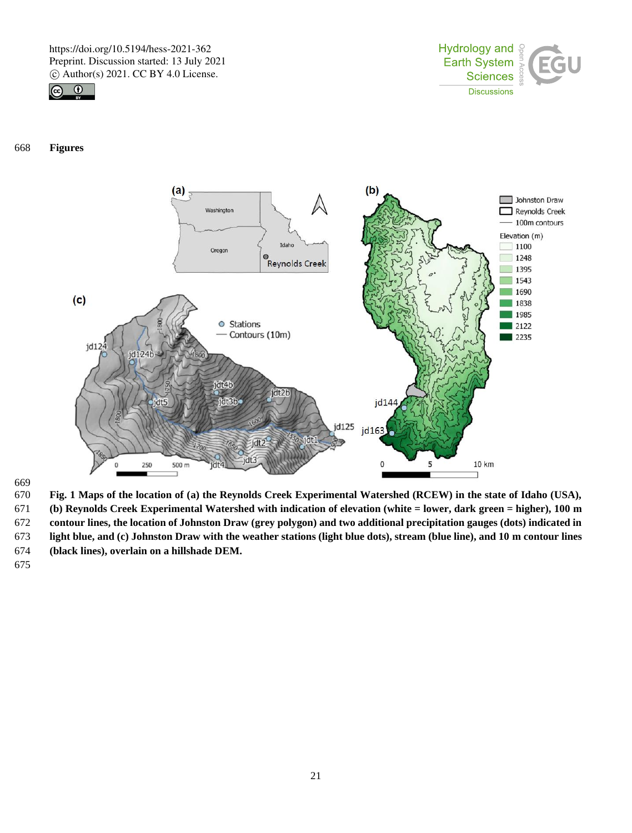



**Figures**



669<br>670

 **Fig. 1 Maps of the location of (a) the Reynolds Creek Experimental Watershed (RCEW) in the state of Idaho (USA), (b) Reynolds Creek Experimental Watershed with indication of elevation (white = lower, dark green = higher), 100 m contour lines, the location of Johnston Draw (grey polygon) and two additional precipitation gauges (dots) indicated in light blue, and (c) Johnston Draw with the weather stations (light blue dots), stream (blue line), and 10 m contour lines (black lines), overlain on a hillshade DEM.**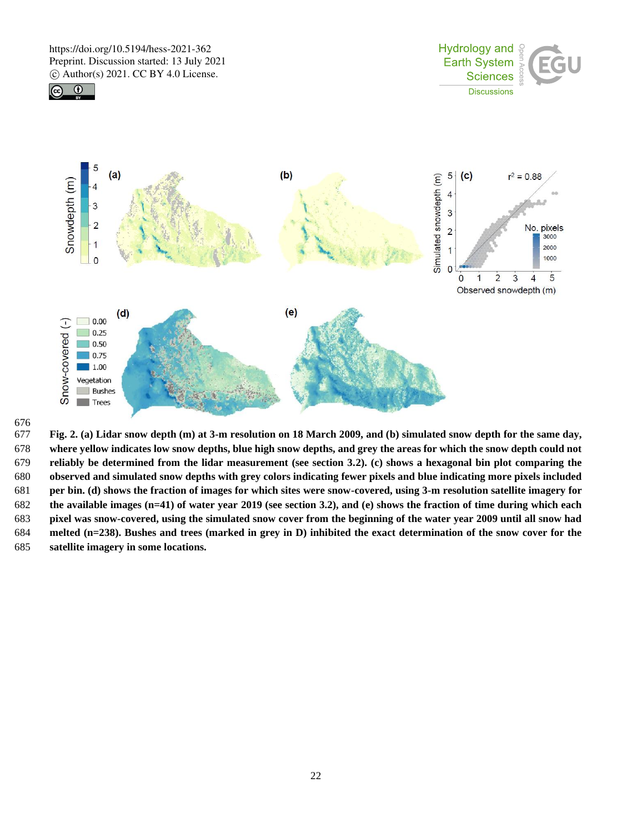$\sqrt{c}$ 

 $\odot$ 





 **Fig. 2. (a) Lidar snow depth (m) at 3-m resolution on 18 March 2009, and (b) simulated snow depth for the same day, where yellow indicates low snow depths, blue high snow depths, and grey the areas for which the snow depth could not reliably be determined from the lidar measurement (see section 3.2). (c) shows a hexagonal bin plot comparing the observed and simulated snow depths with grey colors indicating fewer pixels and blue indicating more pixels included per bin. (d) shows the fraction of images for which sites were snow-covered, using 3-m resolution satellite imagery for the available images (n=41) of water year 2019 (see section 3.2), and (e) shows the fraction of time during which each pixel was snow-covered, using the simulated snow cover from the beginning of the water year 2009 until all snow had melted (n=238). Bushes and trees (marked in grey in D) inhibited the exact determination of the snow cover for the satellite imagery in some locations.**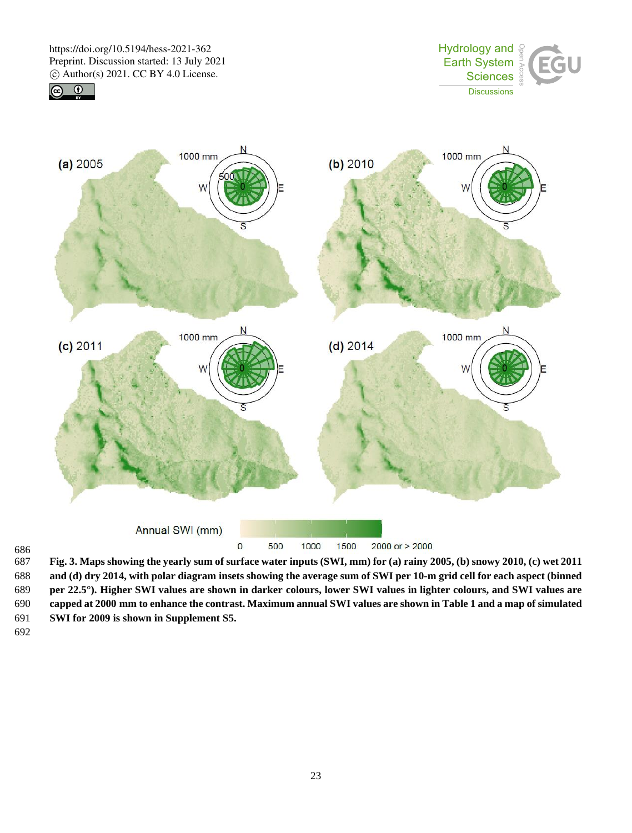





686<br>687 **Fig. 3. Maps showing the yearly sum of surface water inputs (SWI, mm) for (a) rainy 2005, (b) snowy 2010, (c) wet 2011 and (d) dry 2014, with polar diagram insets showing the average sum of SWI per 10-m grid cell for each aspect (binned per 22.5°). Higher SWI values are shown in darker colours, lower SWI values in lighter colours, and SWI values are capped at 2000 mm to enhance the contrast. Maximum annual SWI values are shown in Table 1 and a map of simulated SWI for 2009 is shown in Supplement S5.**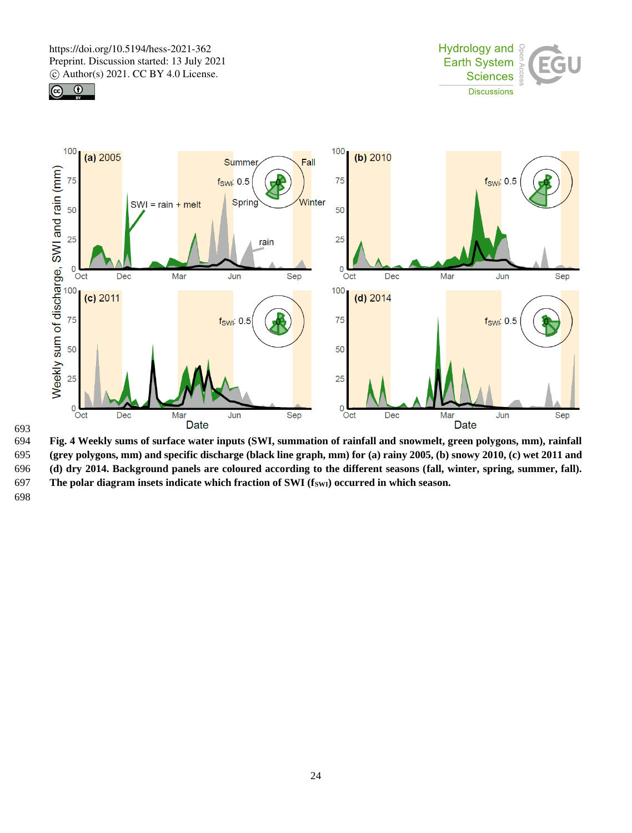





693<br>694

694 **Fig. 4 Weekly sums of surface water inputs (SWI, summation of rainfall and snowmelt, green polygons, mm), rainfall**  695 **(grey polygons, mm) and specific discharge (black line graph, mm) for (a) rainy 2005, (b) snowy 2010, (c) wet 2011 and**  696 **(d) dry 2014. Background panels are coloured according to the different seasons (fall, winter, spring, summer, fall).**  697 **The polar diagram insets indicate which fraction of SWI (fSWI) occurred in which season.**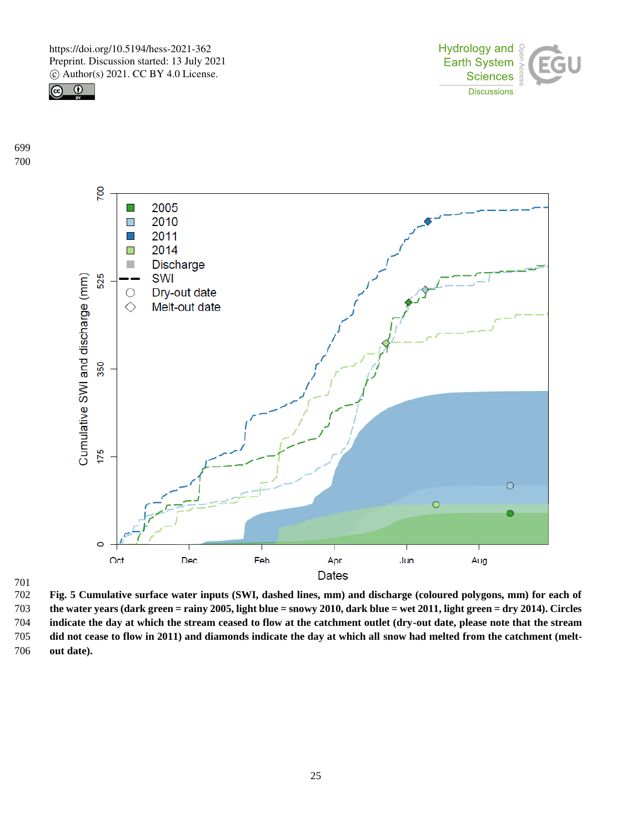



 



 **Fig. 5 Cumulative surface water inputs (SWI, dashed lines, mm) and discharge (coloured polygons, mm) for each of the water years (dark green = rainy 2005, light blue = snowy 2010, dark blue = wet 2011, light green = dry 2014). Circles indicate the day at which the stream ceased to flow at the catchment outlet (dry-out date, please note that the stream did not cease to flow in 2011) and diamonds indicate the day at which all snow had melted from the catchment (melt-out date).**